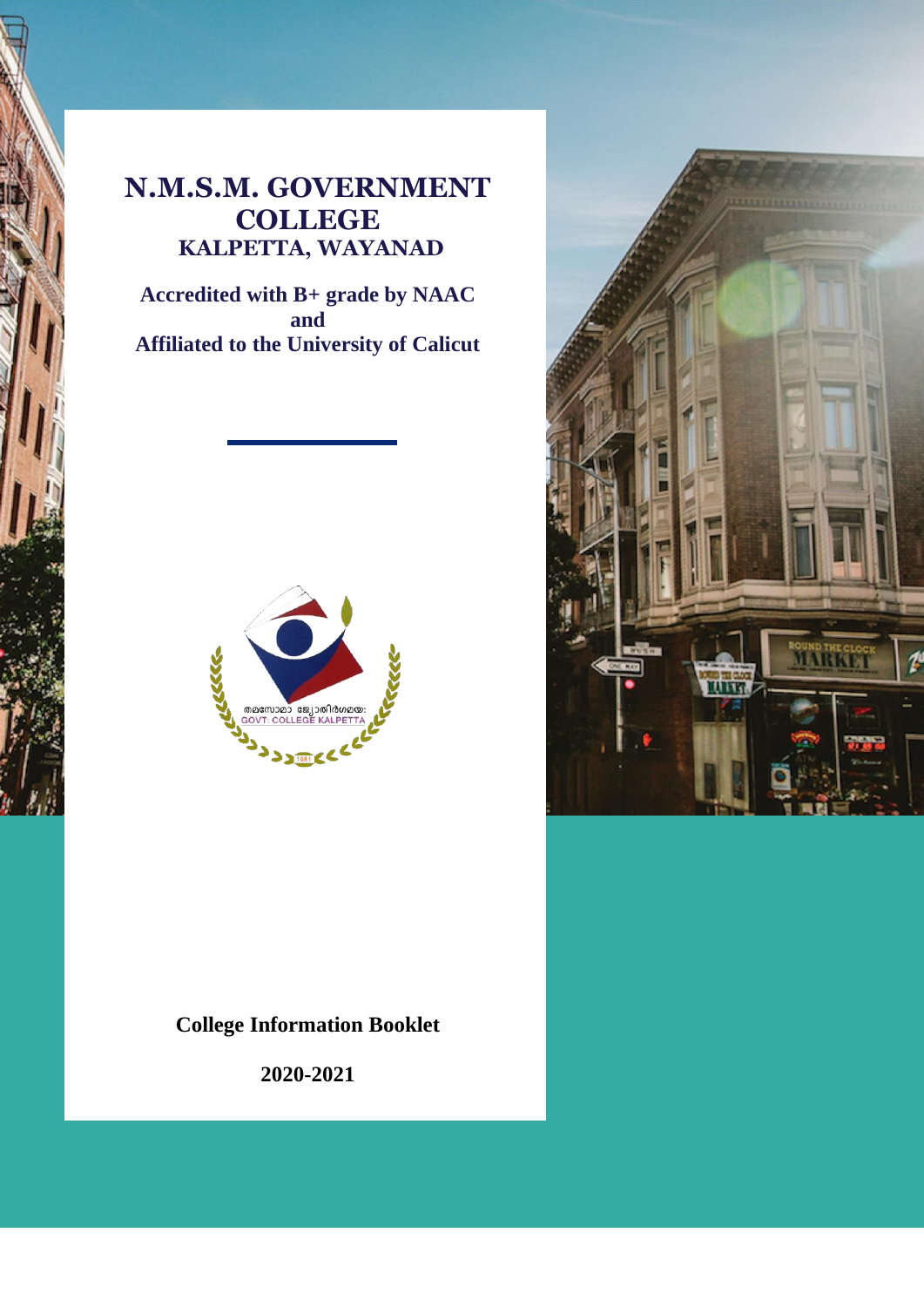# **N.M.S.M. GOVERNMENT COLLEGE KALPETTA, WAYANAD**

**Accredited with B+ grade by NAAC and Affiliated to the University of Calicut**



# **College Information Booklet**

**2020-2021**

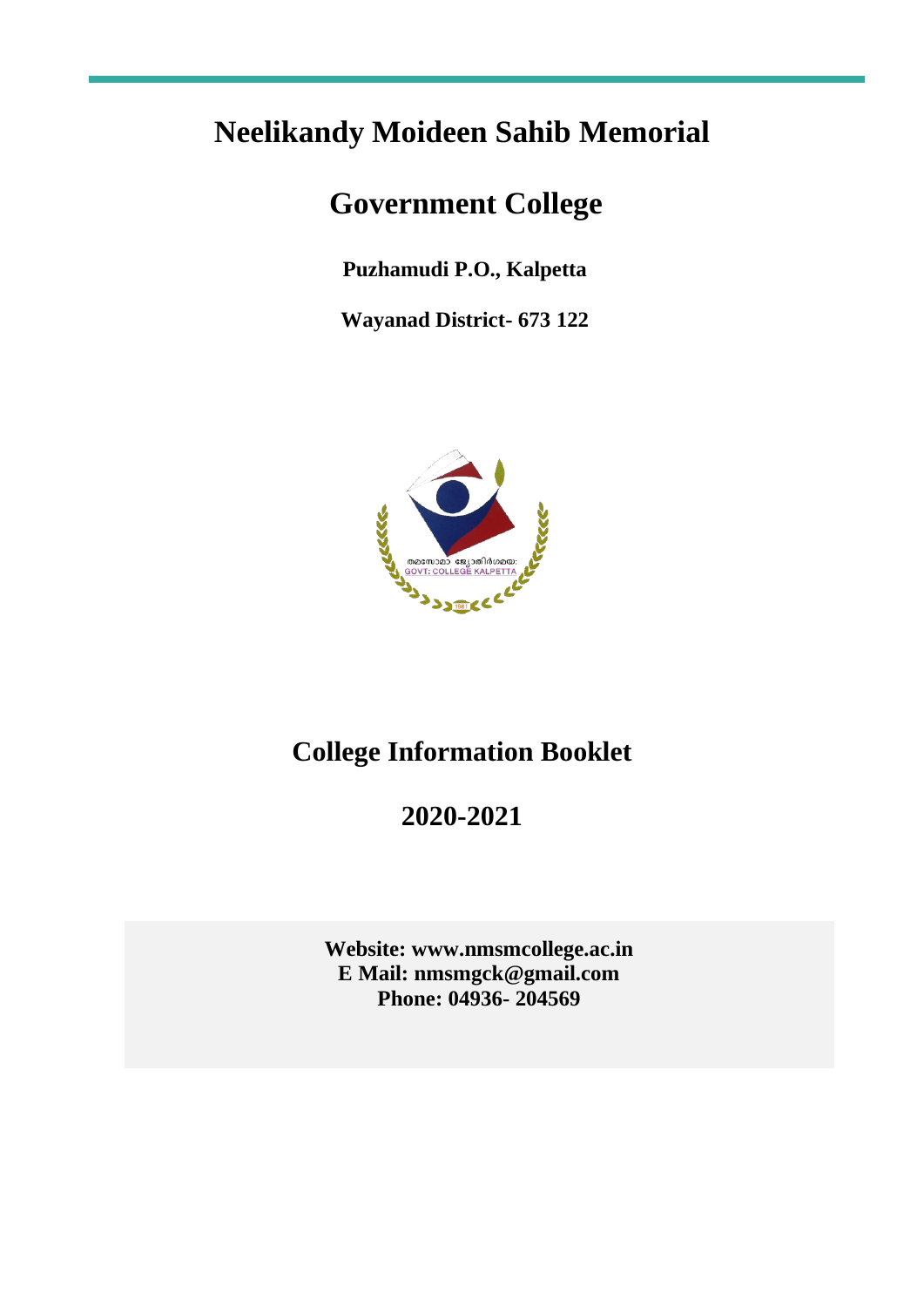# **Neelikandy Moideen Sahib Memorial**

# **Government College**

**Puzhamudi P.O., Kalpetta**

**Wayanad District- 673 122**



# **College Information Booklet**

# **2020-2021**

**Website: www.nmsmcollege.ac.in E Mail: nmsmgck@gmail.com Phone: 04936- 204569**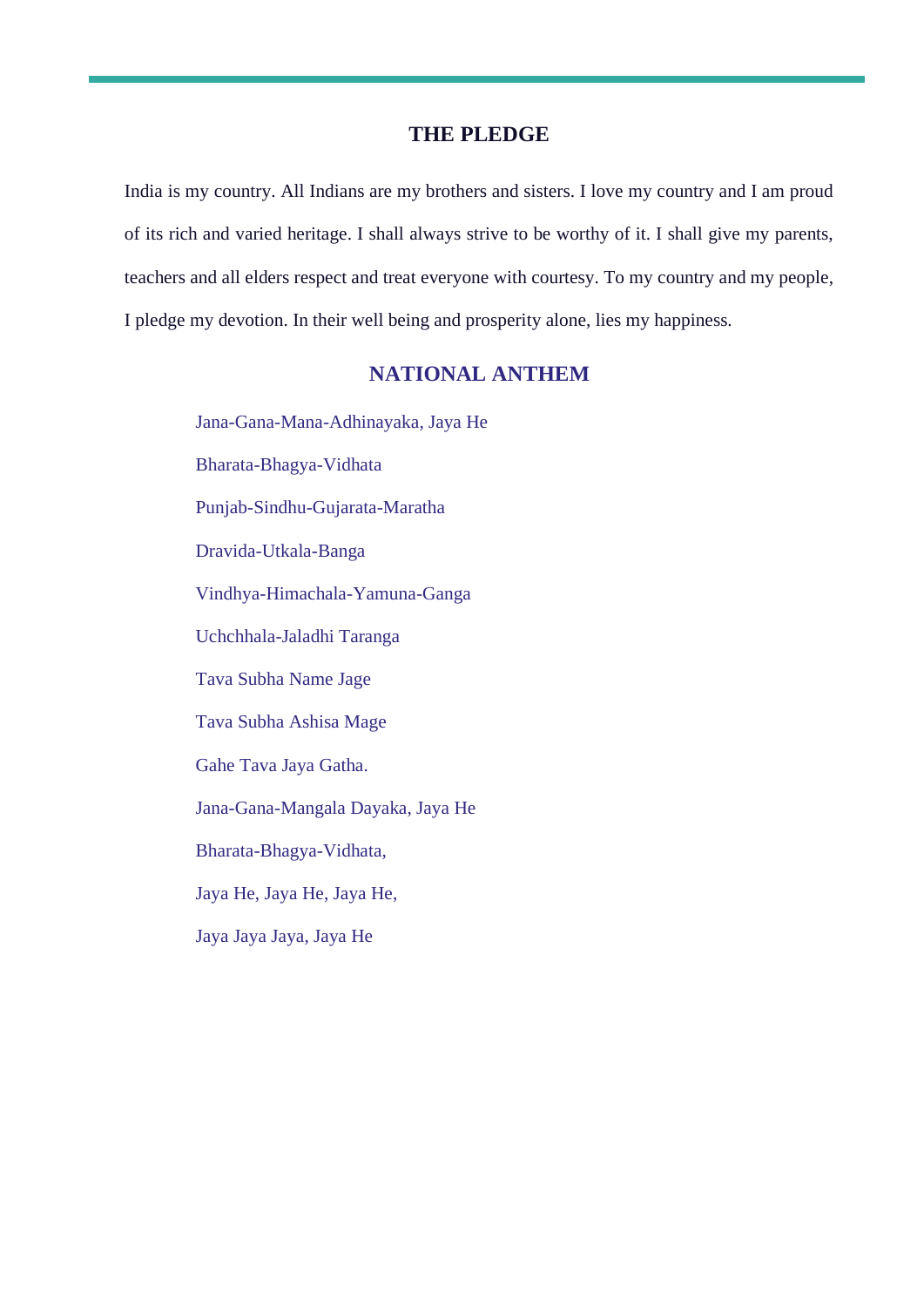# **THE PLEDGE**

India is my country. All Indians are my brothers and sisters. I love my country and I am proud of its rich and varied heritage. I shall always strive to be worthy of it. I shall give my parents, teachers and all elders respect and treat everyone with courtesy. To my country and my people, I pledge my devotion. In their well being and prosperity alone, lies my happiness.

# **NATIONAL ANTHEM**

Jana-Gana-Mana-Adhinayaka, Jaya He Bharata-Bhagya-Vidhata Punjab-Sindhu-Gujarata-Maratha Dravida-Utkala-Banga Vindhya-Himachala-Yamuna-Ganga Uchchhala-Jaladhi Taranga Tava Subha Name Jage Tava Subha Ashisa Mage

Gahe Tava Jaya Gatha.

Jana-Gana-Mangala Dayaka, Jaya He

Bharata-Bhagya-Vidhata,

Jaya He, Jaya He, Jaya He,

Jaya Jaya Jaya, Jaya He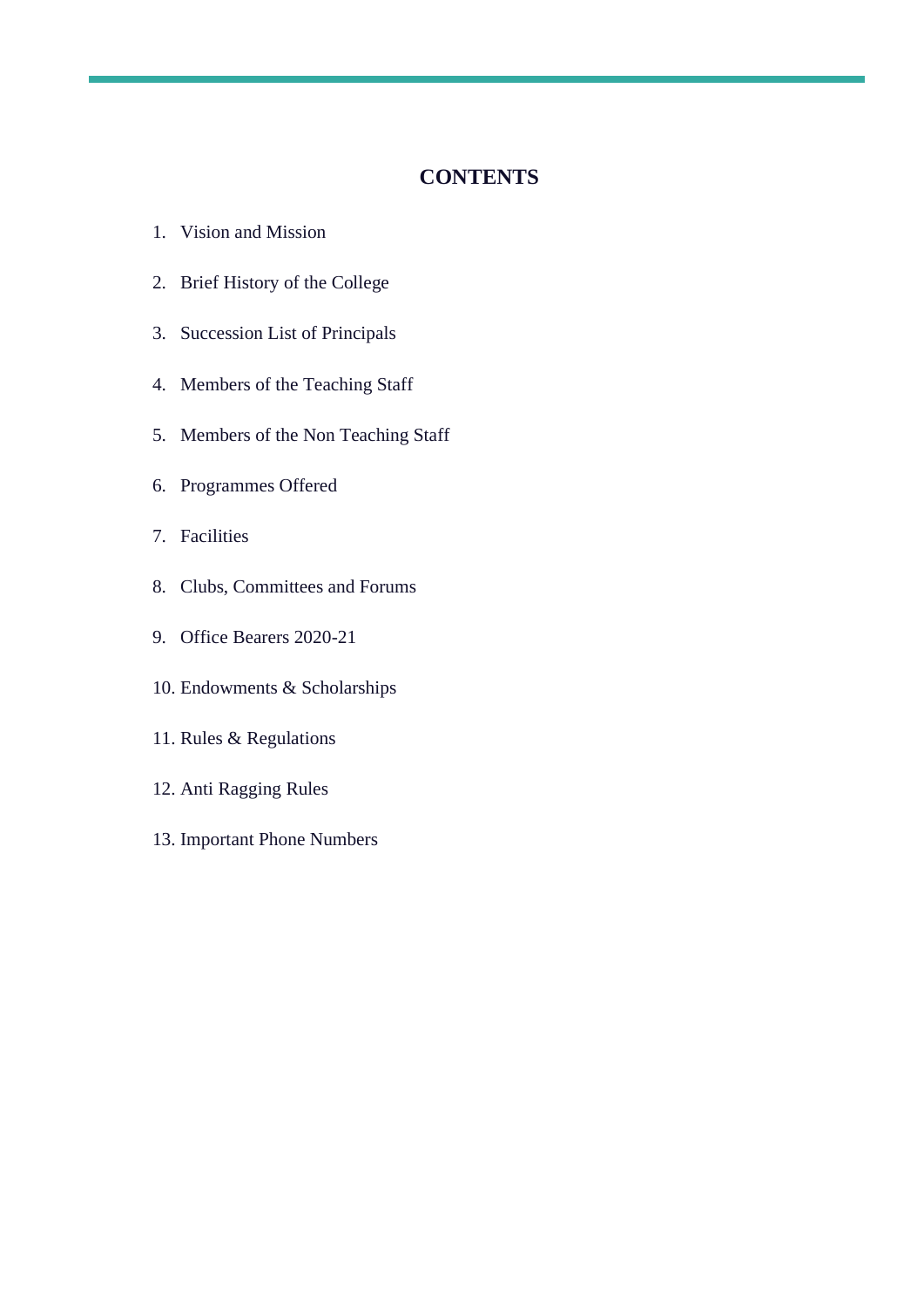# **CONTENTS**

- 1. Vision and Mission
- 2. Brief History of the College
- 3. Succession List of Principals
- 4. Members of the Teaching Staff
- 5. Members of the Non Teaching Staff
- 6. Programmes Offered
- 7. Facilities
- 8. Clubs, Committees and Forums
- 9. Office Bearers 2020-21
- 10. Endowments & Scholarships
- 11. Rules & Regulations
- 12. Anti Ragging Rules
- 13. Important Phone Numbers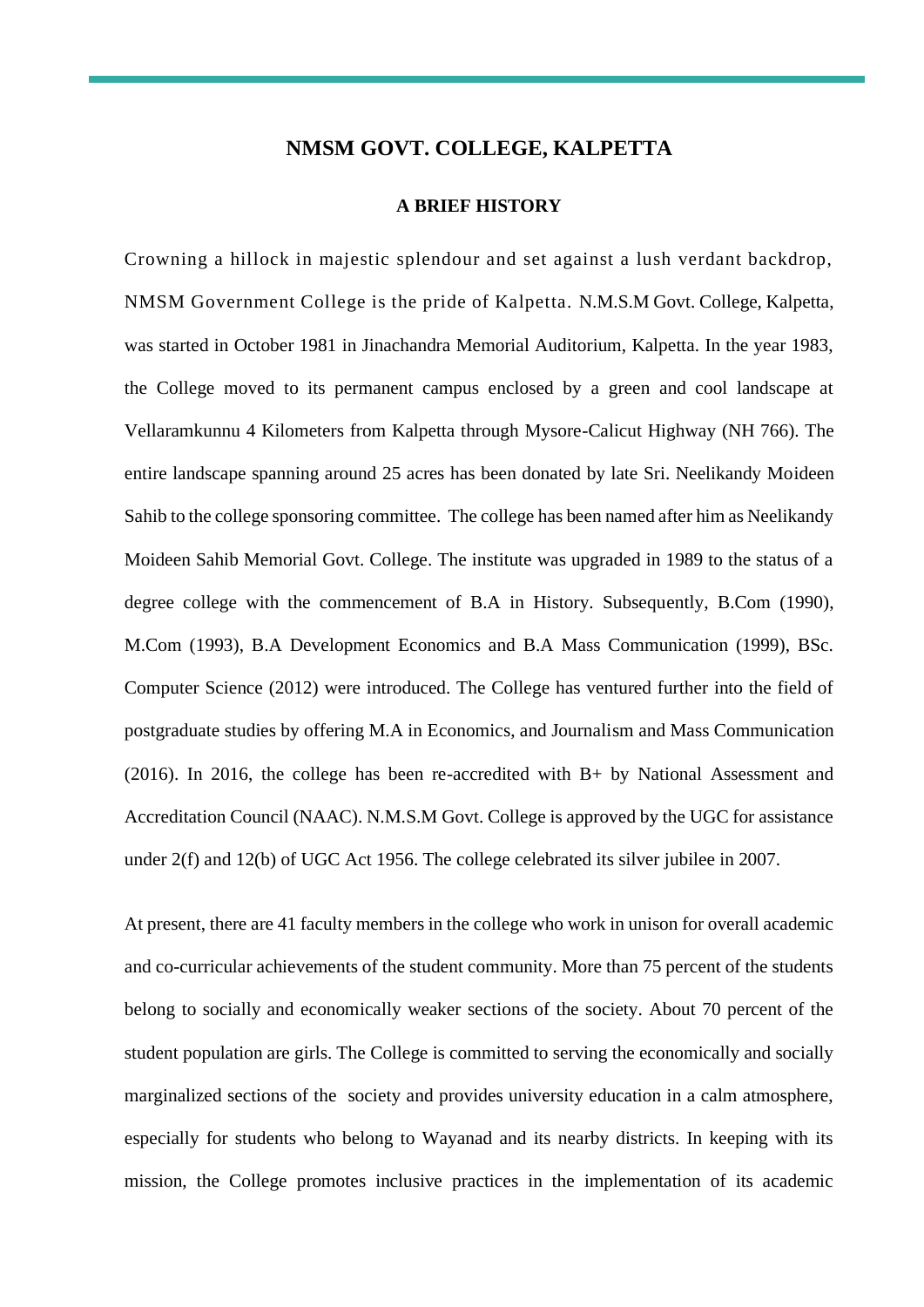## **NMSM GOVT. COLLEGE, KALPETTA**

#### **A BRIEF HISTORY**

Crowning a hillock in majestic splendour and set against a lush verdant backdrop, NMSM Government College is the pride of Kalpetta. N.M.S.M Govt. College, Kalpetta, was started in October 1981 in Jinachandra Memorial Auditorium, Kalpetta. In the year 1983, the College moved to its permanent campus enclosed by a green and cool landscape at Vellaramkunnu 4 Kilometers from Kalpetta through Mysore-Calicut Highway (NH 766). The entire landscape spanning around 25 acres has been donated by late Sri. Neelikandy Moideen Sahib to the college sponsoring committee. The college has been named after him as Neelikandy Moideen Sahib Memorial Govt. College. The institute was upgraded in 1989 to the status of a degree college with the commencement of B.A in History. Subsequently, B.Com (1990), M.Com (1993), B.A Development Economics and B.A Mass Communication (1999), BSc. Computer Science (2012) were introduced. The College has ventured further into the field of postgraduate studies by offering M.A in Economics, and Journalism and Mass Communication (2016). In 2016, the college has been re-accredited with B+ by National Assessment and Accreditation Council (NAAC). N.M.S.M Govt. College is approved by the UGC for assistance under 2(f) and 12(b) of UGC Act 1956. The college celebrated its silver jubilee in 2007.

At present, there are 41 faculty members in the college who work in unison for overall academic and co-curricular achievements of the student community. More than 75 percent of the students belong to socially and economically weaker sections of the society. About 70 percent of the student population are girls. The College is committed to serving the economically and socially marginalized sections of the society and provides university education in a calm atmosphere, especially for students who belong to Wayanad and its nearby districts. In keeping with its mission, the College promotes inclusive practices in the implementation of its academic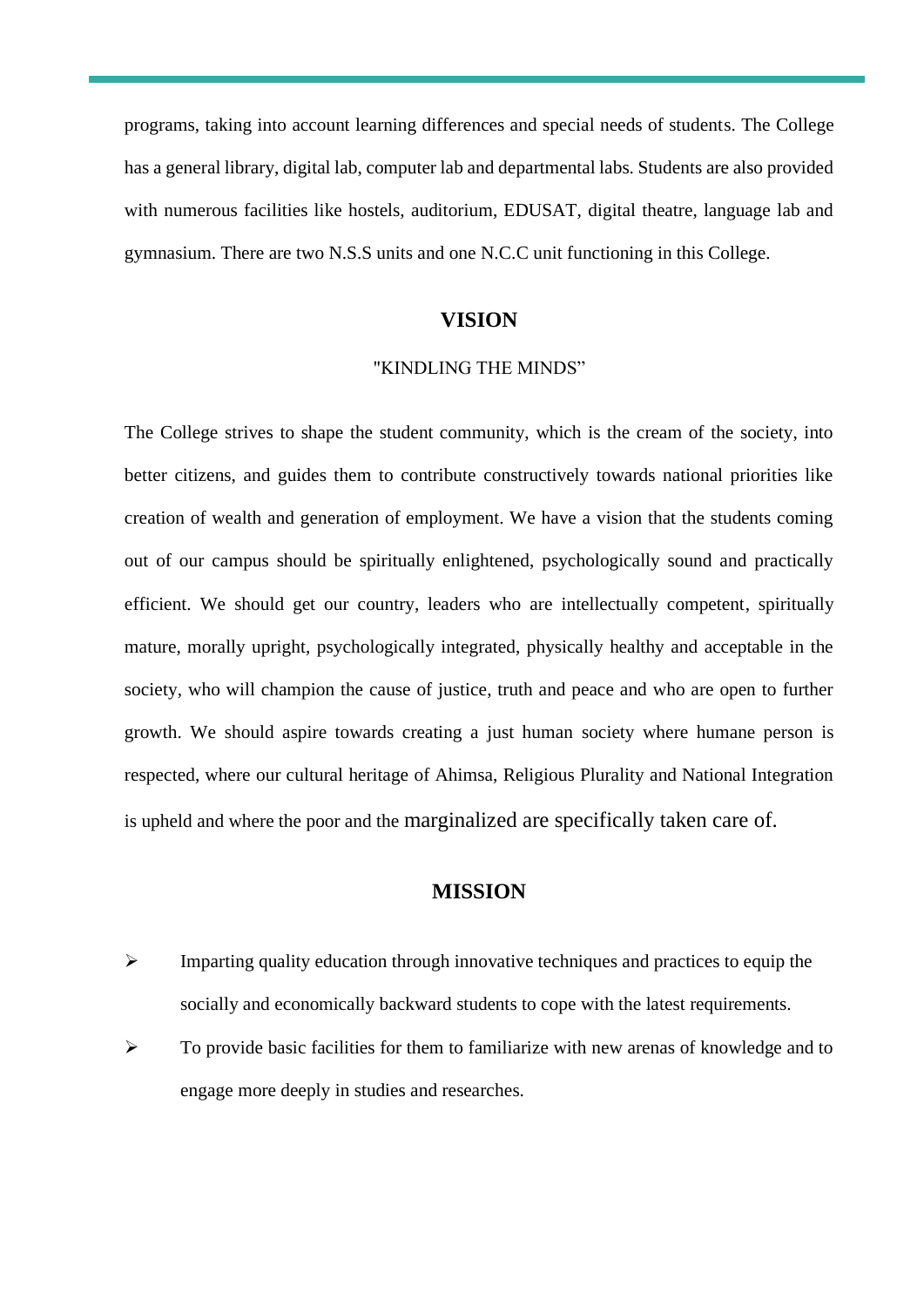programs, taking into account learning differences and special needs of students. The College has a general library, digital lab, computer lab and departmental labs. Students are also provided with numerous facilities like hostels, auditorium, EDUSAT, digital theatre, language lab and gymnasium. There are two N.S.S units and one N.C.C unit functioning in this College.

#### **VISION**

#### "KINDLING THE MINDS"

The College strives to shape the student community, which is the cream of the society, into better citizens, and guides them to contribute constructively towards national priorities like creation of wealth and generation of employment. We have a vision that the students coming out of our campus should be spiritually enlightened, psychologically sound and practically efficient. We should get our country, leaders who are intellectually competent, spiritually mature, morally upright, psychologically integrated, physically healthy and acceptable in the society, who will champion the cause of justice, truth and peace and who are open to further growth. We should aspire towards creating a just human society where humane person is respected, where our cultural heritage of Ahimsa, Religious Plurality and National Integration is upheld and where the poor and the marginalized are specifically taken care of.

## **MISSION**

- ➢ Imparting quality education through innovative techniques and practices to equip the socially and economically backward students to cope with the latest requirements.
- $\triangleright$  To provide basic facilities for them to familiarize with new arenas of knowledge and to engage more deeply in studies and researches.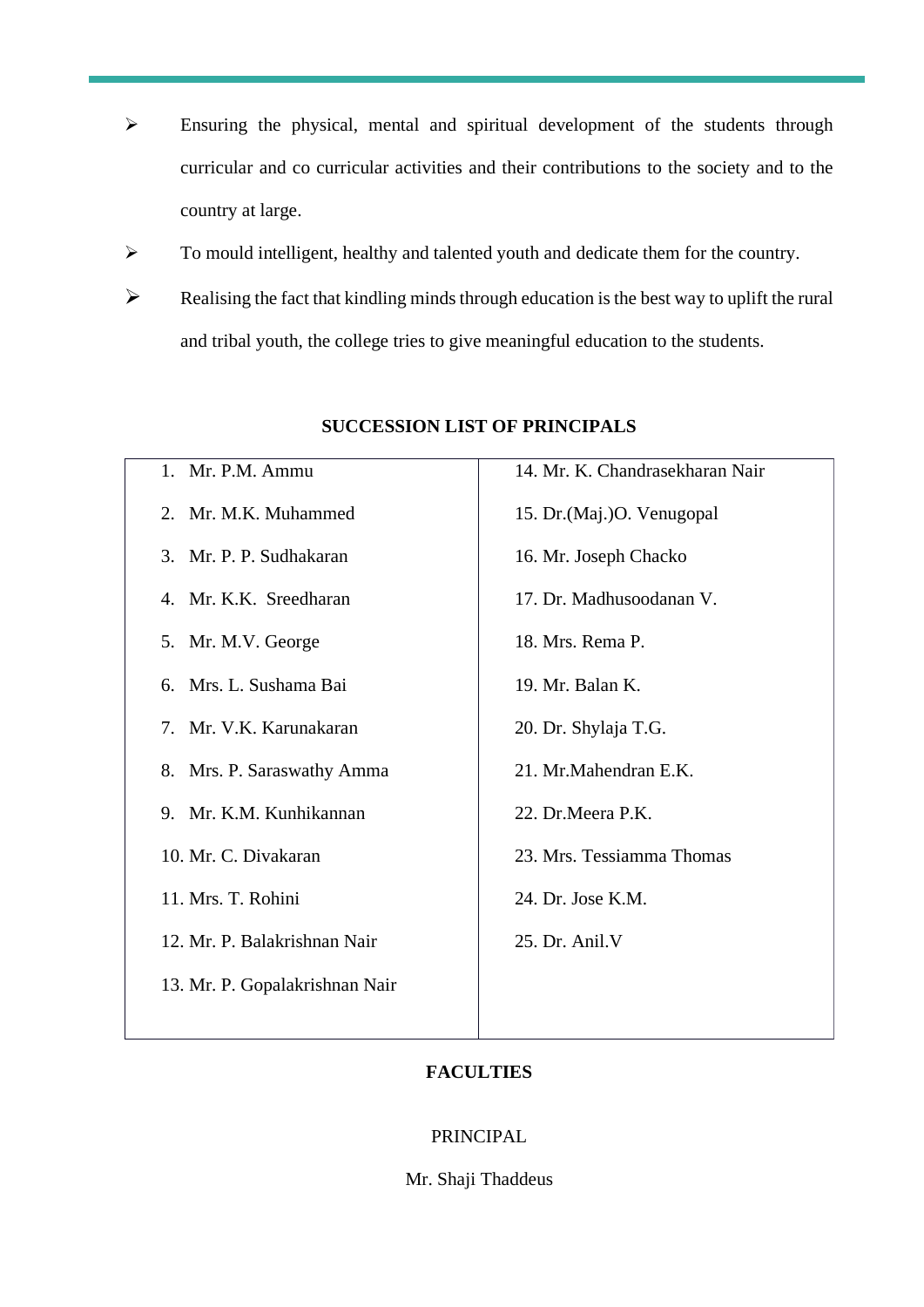- ➢ Ensuring the physical, mental and spiritual development of the students through curricular and co curricular activities and their contributions to the society and to the country at large.
- ➢ To mould intelligent, healthy and talented youth and dedicate them for the country.
- $\triangleright$  Realising the fact that kindling minds through education is the best way to uplift the rural and tribal youth, the college tries to give meaningful education to the students.

| 1. Mr. P.M. Ammu               | 14. Mr. K. Chandrasekharan Nair |
|--------------------------------|---------------------------------|
| 2. Mr. M.K. Muhammed           | 15. Dr. (Maj.) O. Venugopal     |
| 3. Mr. P. P. Sudhakaran        | 16. Mr. Joseph Chacko           |
| 4. Mr. K.K. Sreedharan         | 17. Dr. Madhusoodanan V.        |
| 5. Mr. M.V. George             | 18. Mrs. Rema P.                |
| 6. Mrs. L. Sushama Bai         | 19. Mr. Balan K.                |
| 7. Mr. V.K. Karunakaran        | 20. Dr. Shylaja T.G.            |
| 8. Mrs. P. Saraswathy Amma     | 21. Mr.Mahendran E.K.           |
| 9. Mr. K.M. Kunhikannan        | 22. Dr.Meera P.K.               |
| 10. Mr. C. Divakaran           | 23. Mrs. Tessiamma Thomas       |
| 11. Mrs. T. Rohini             | 24. Dr. Jose K.M.               |
| 12. Mr. P. Balakrishnan Nair   | 25. Dr. Anil. V                 |
| 13. Mr. P. Gopalakrishnan Nair |                                 |
|                                |                                 |

# **SUCCESSION LIST OF PRINCIPALS**

# **FACULTIES**

## PRINCIPAL

Mr. Shaji Thaddeus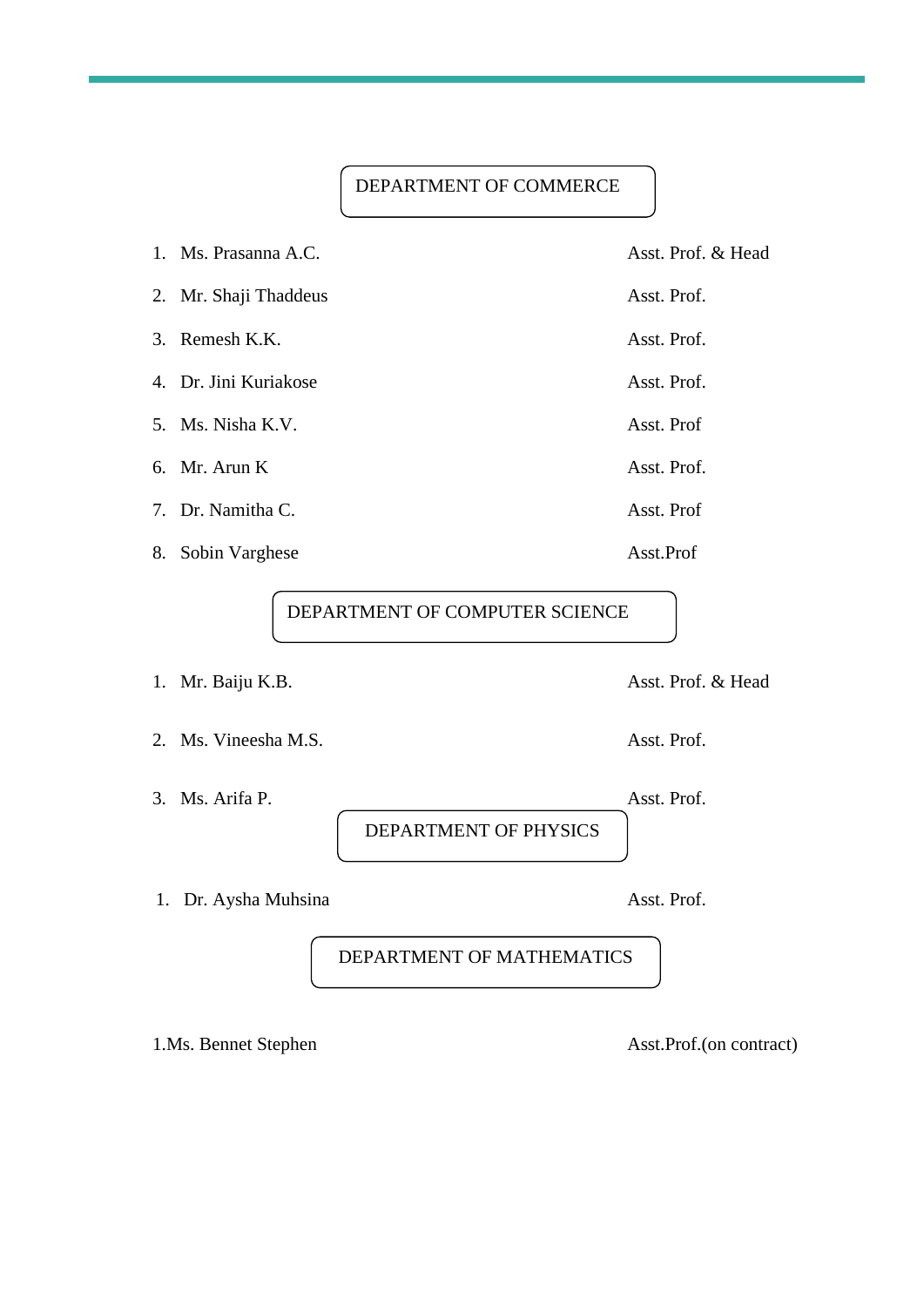# DEPARTMENT OF COMMERCE

| 1. Ms. Prasanna A.C.  | Asst. Prof. & Head |
|-----------------------|--------------------|
| 2. Mr. Shaji Thaddeus | Asst. Prof.        |
| 3. Remesh K.K.        | Asst. Prof.        |
| 4. Dr. Jini Kuriakose | Asst. Prof.        |
| 5. Ms. Nisha K.V.     | Asst. Prof         |
| 6. Mr. Arun K         | Asst. Prof.        |
| 7. Dr. Namitha C.     | Asst. Prof         |
| 8. Sobin Varghese     | Asst.Prof          |

DEPARTMENT OF COMPUTER SCIENCE

- 
- 2. Ms. Vineesha M.S. Asst. Prof.
- 3. Ms. Arifa P. Asst. Prof.

DEPARTMENT OF PHYSICS

1. Dr. Aysha Muhsina Asst. Prof.

DEPARTMENT OF MATHEMATICS

1.Ms. Bennet Stephen Asst.Prof.(on contract)

1. Mr. Baiju K.B. Asst. Prof. & Head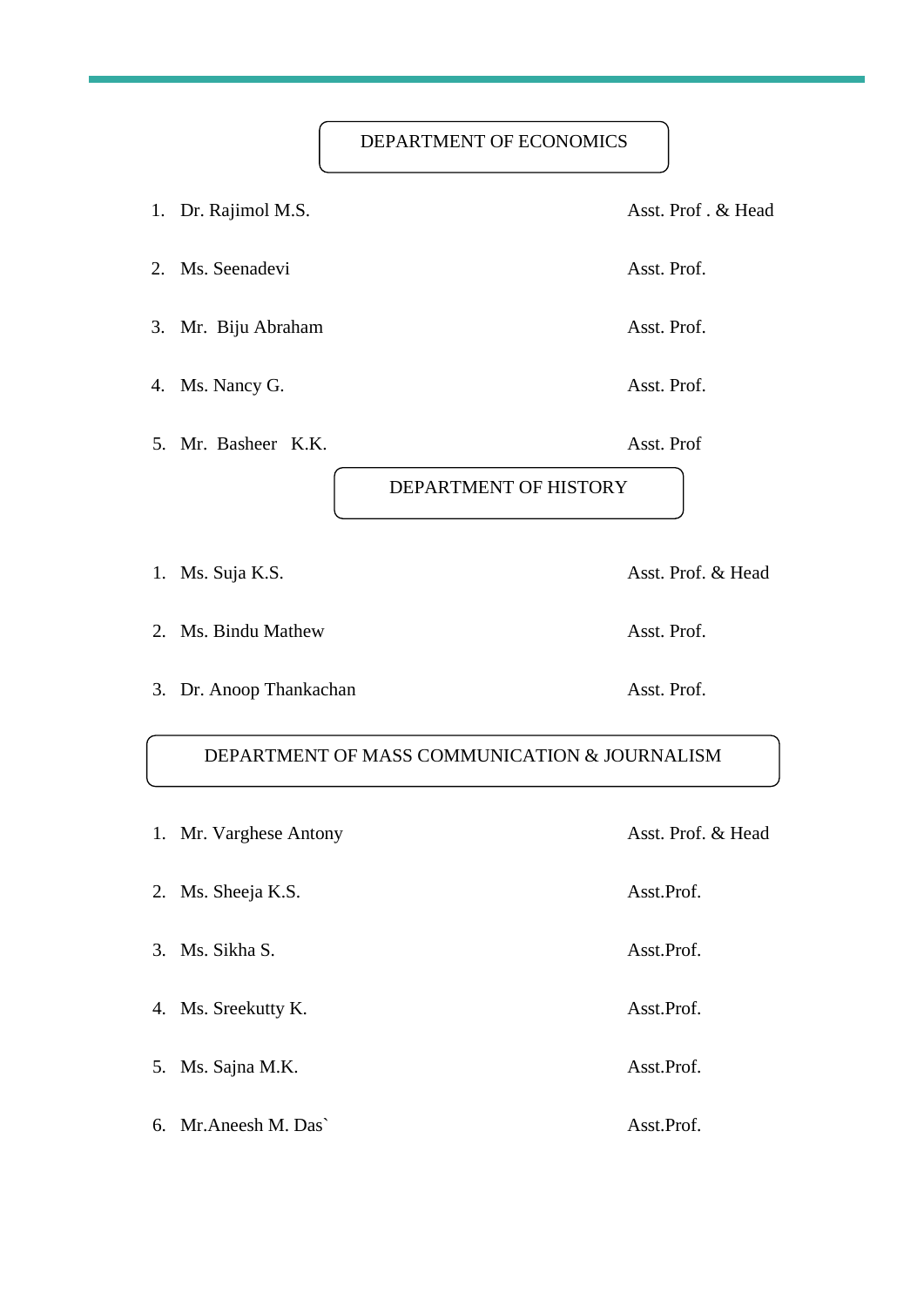# DEPARTMENT OF ECONOMICS

1. Dr. Rajimol M.S. Asst. Prof. & Head 2. Ms. Seenadevi Asst. Prof. 3. Mr. Biju Abraham Asst. Prof. 4. Ms. Nancy G. Asst. Prof.

5. Mr. Basheer K.K. Asst. Prof

DEPARTMENT OF HISTORY

1. Ms. Suja K.S. Asst. Prof. & Head

2. Ms. Bindu Mathew Asst. Prof.

3. Dr. Anoop Thankachan Asst. Prof.

# DEPARTMENT OF MASS COMMUNICATION & JOURNALISM

| 1. Mr. Varghese Antony | Asst. Prof. & Head |
|------------------------|--------------------|
| 2. Ms. Sheeja K.S.     | Asst.Prof.         |
| 3. Ms. Sikha S.        | Asst.Prof.         |
| 4. Ms. Sreekutty K.    | Asst.Prof.         |
| 5. Ms. Sajna M.K.      | Asst.Prof.         |
| 6. Mr. Aneesh M. Das`  | Asst.Prof.         |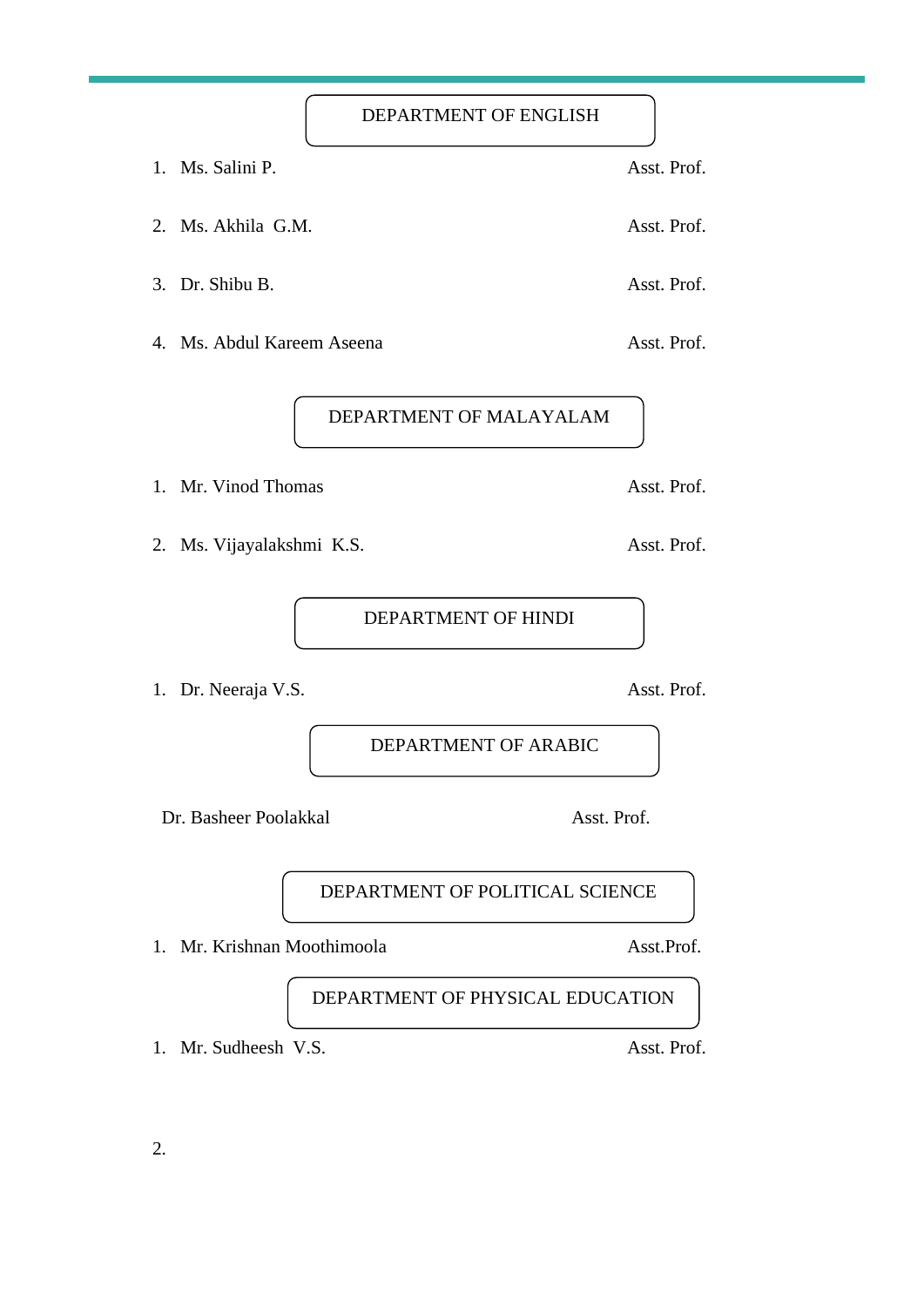DEPARTMENT OF ENGLISH

- 1. Ms. Salini P. Asst. Prof.
- 2. Ms. Akhila G.M. Asst. Prof.
- 3. Dr. Shibu B. Asst. Prof.
- 4. Ms. Abdul Kareem Aseena Asst. Prof.

DEPARTMENT OF MALAYALAM

- 1. Mr. Vinod Thomas Asst. Prof.
- 2. Ms. Vijayalakshmi K.S. Asst. Prof.

DEPARTMENT OF HINDI

1. Dr. Neeraja V.S. Asst. Prof.

DEPARTMENT OF ARABIC

Dr. Basheer Poolakkal Asst. Prof.

DEPARTMENT OF POLITICAL SCIENCE

1. Mr. Krishnan Moothimoola Asst.Prof.

DEPARTMENT OF PHYSICAL EDUCATION

1. Mr. Sudheesh V.S. Asst. Prof.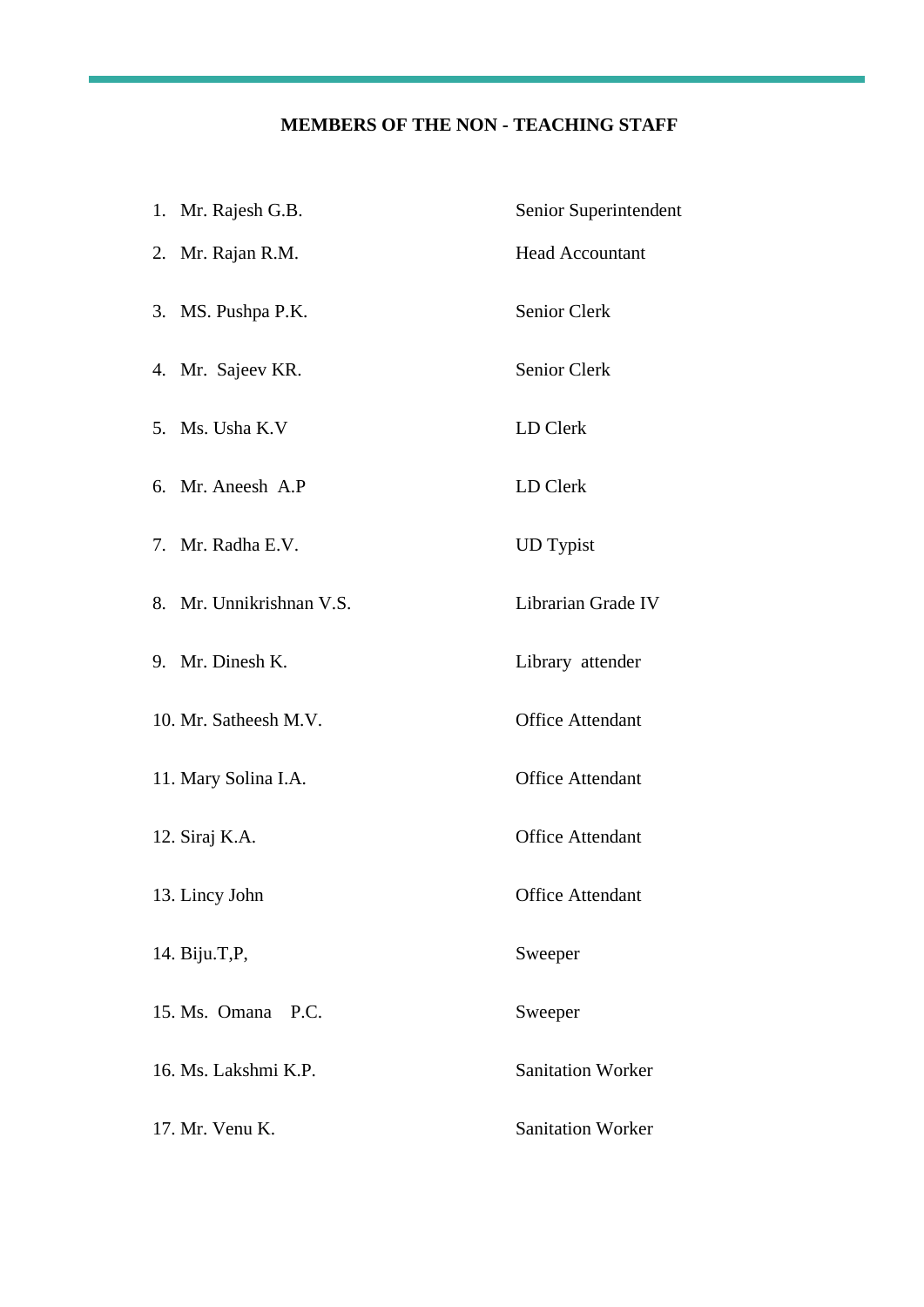# **MEMBERS OF THE NON - TEACHING STAFF**

| 1. Mr. Rajesh G.B.       | Senior Superintendent    |
|--------------------------|--------------------------|
| 2. Mr. Rajan R.M.        | <b>Head Accountant</b>   |
| 3. MS. Pushpa P.K.       | Senior Clerk             |
| 4. Mr. Sajeev KR.        | Senior Clerk             |
| 5. Ms. Usha K.V          | LD Clerk                 |
| 6. Mr. Aneesh A.P        | LD Clerk                 |
| 7. Mr. Radha E.V.        | <b>UD</b> Typist         |
| 8. Mr. Unnikrishnan V.S. | Librarian Grade IV       |
| 9. Mr. Dinesh K.         | Library attender         |
| 10. Mr. Satheesh M.V.    | <b>Office Attendant</b>  |
| 11. Mary Solina I.A.     | <b>Office Attendant</b>  |
| 12. Siraj K.A.           | <b>Office Attendant</b>  |
| 13. Lincy John           | <b>Office Attendant</b>  |
| 14. Biju.T, P,           | Sweeper                  |
| 15. Ms. Omana P.C.       | Sweeper                  |
| 16. Ms. Lakshmi K.P.     | <b>Sanitation Worker</b> |
| 17. Mr. Venu K.          | <b>Sanitation Worker</b> |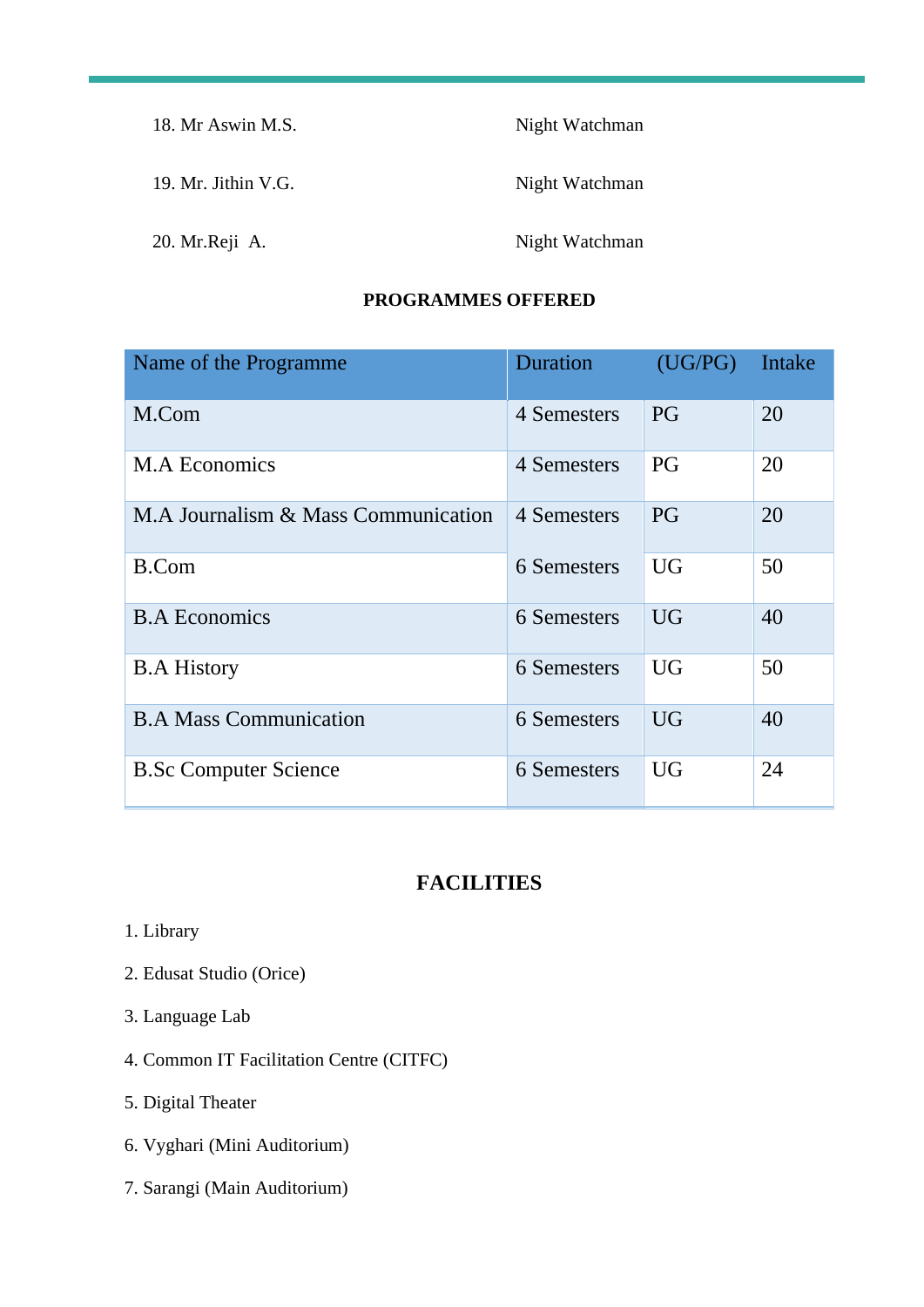| 18. Mr Aswin M.S.   | Night Watchman |
|---------------------|----------------|
| 19. Mr. Jithin V.G. | Night Watchman |
| 20. Mr. Reji A.     | Night Watchman |

# **PROGRAMMES OFFERED**

| Name of the Programme               | Duration    | (UG/PG)   | Intake |
|-------------------------------------|-------------|-----------|--------|
| M.Com                               | 4 Semesters | <b>PG</b> | 20     |
| <b>M.A Economics</b>                | 4 Semesters | PG        | 20     |
| M.A Journalism & Mass Communication | 4 Semesters | <b>PG</b> | 20     |
| <b>B.Com</b>                        | 6 Semesters | <b>UG</b> | 50     |
| <b>B.A Economics</b>                | 6 Semesters | <b>UG</b> | 40     |
| <b>B.A History</b>                  | 6 Semesters | <b>UG</b> | 50     |
| <b>B.A Mass Communication</b>       | 6 Semesters | <b>UG</b> | 40     |
| <b>B.Sc Computer Science</b>        | 6 Semesters | <b>UG</b> | 24     |

# **FACILITIES**

- 1. Library
- 2. Edusat Studio (Orice)
- 3. Language Lab
- 4. Common IT Facilitation Centre (CITFC)
- 5. Digital Theater
- 6. Vyghari (Mini Auditorium)
- 7. Sarangi (Main Auditorium)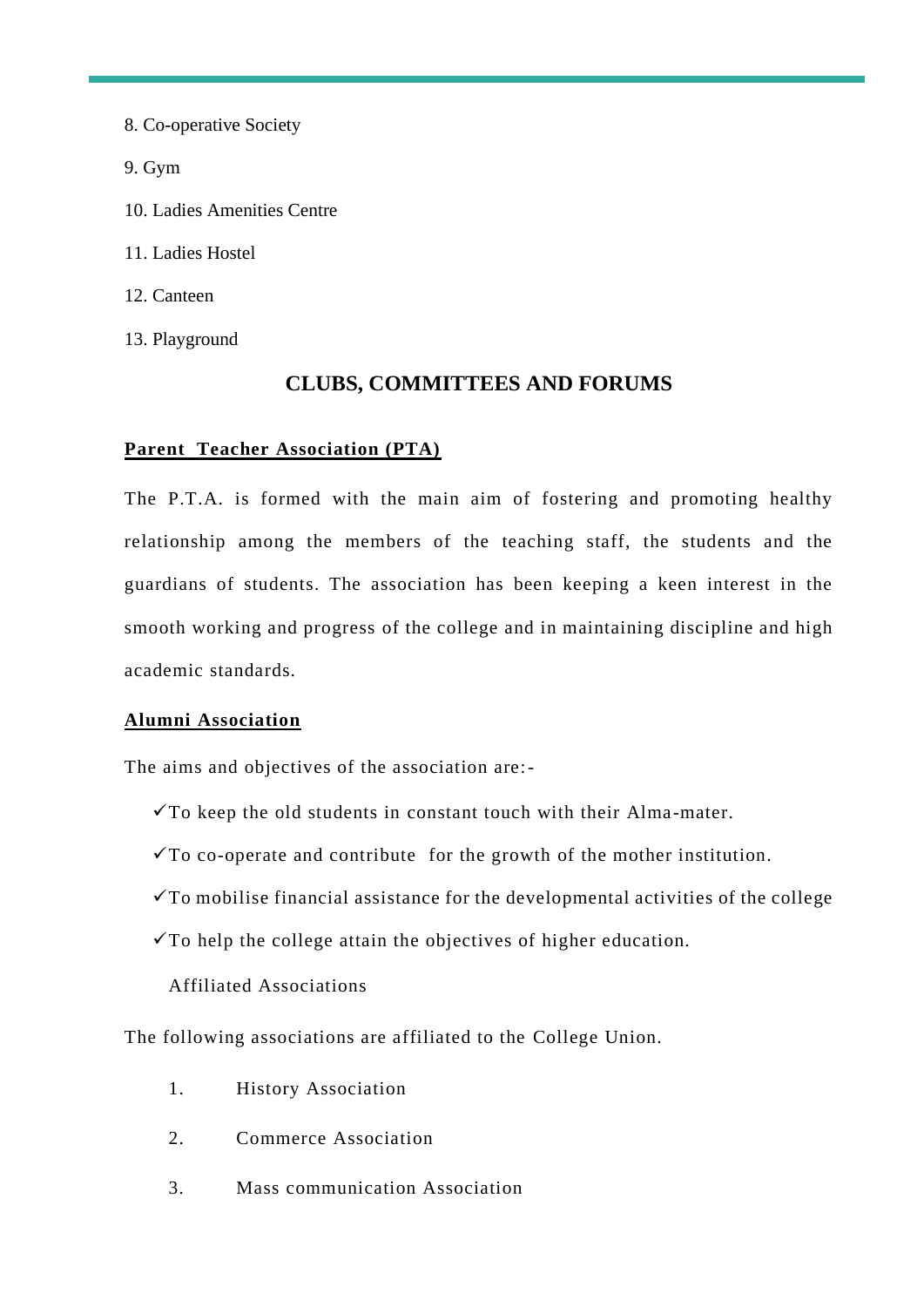8. Co-operative Society 9. Gym 10. Ladies Amenities Centre 11. Ladies Hostel 12. Canteen 13. Playground

# **CLUBS, COMMITTEES AND FORUMS**

# **Parent Teacher Association (PTA)**

The P.T.A. is formed with the main aim of fostering and promoting healthy relationship among the members of the teaching staff, the students and the guardians of students. The association has been keeping a keen interest in the smooth working and progress of the college and in maintaining discipline and high academic standards.

# **Alumni Association**

The aims and objectives of the association are:-

- $\checkmark$ To keep the old students in constant touch with their Alma-mater.
- $\checkmark$ To co-operate and contribute for the growth of the mother institution.
- $\checkmark$ To mobilise financial assistance for the developmental activities of the college
- $\checkmark$ To help the college attain the objectives of higher education.

Affiliated Associations

The following associations are affiliated to the College Union.

- 1. History Association
- 2. Commerce Association
- 3. Mass communication Association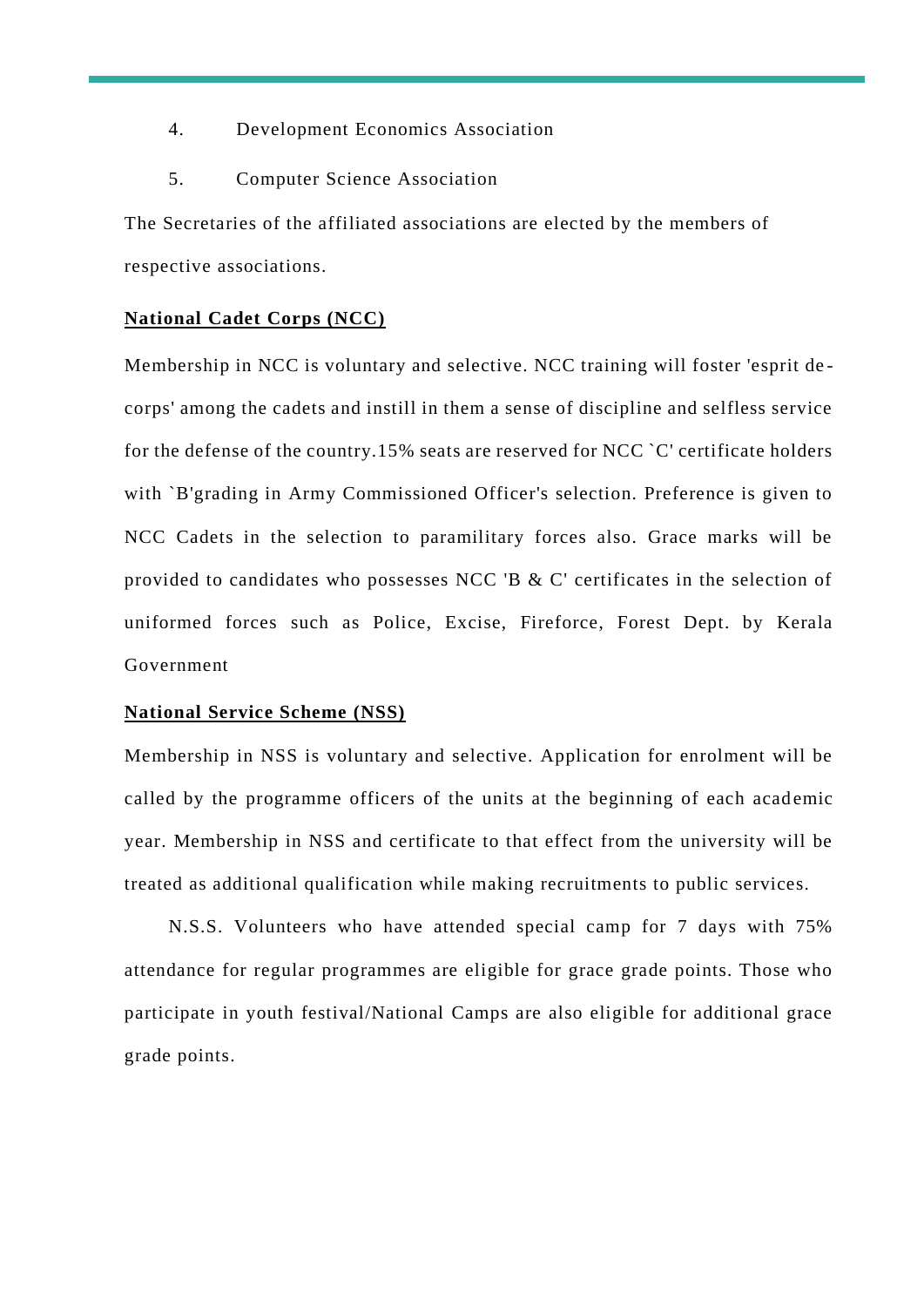- 4. Development Economics Association
- 5. Computer Science Association

The Secretaries of the affiliated associations are elected by the members of respective associations.

#### **National Cadet Corps (NCC)**

Membership in NCC is voluntary and selective. NCC training will foster 'esprit de corps' among the cadets and instill in them a sense of discipline and selfless service for the defense of the country.15% seats are reserved for NCC `C' certificate holders with `B'grading in Army Commissioned Officer's selection. Preference is given to NCC Cadets in the selection to paramilitary forces also. Grace marks will be provided to candidates who possesses NCC 'B & C' certificates in the selection of uniformed forces such as Police, Excise, Fireforce, Forest Dept. by Kerala Government

#### **National Service Scheme (NSS)**

Membership in NSS is voluntary and selective. Application for enrolment will be called by the programme officers of the units at the beginning of each academic year. Membership in NSS and certificate to that effect from the university will be treated as additional qualification while making recruitments to public services.

N.S.S. Volunteers who have attended special camp for 7 days with 75% attendance for regular programmes are eligible for grace grade points. Those who participate in youth festival/National Camps are also eligible for additional grace grade points.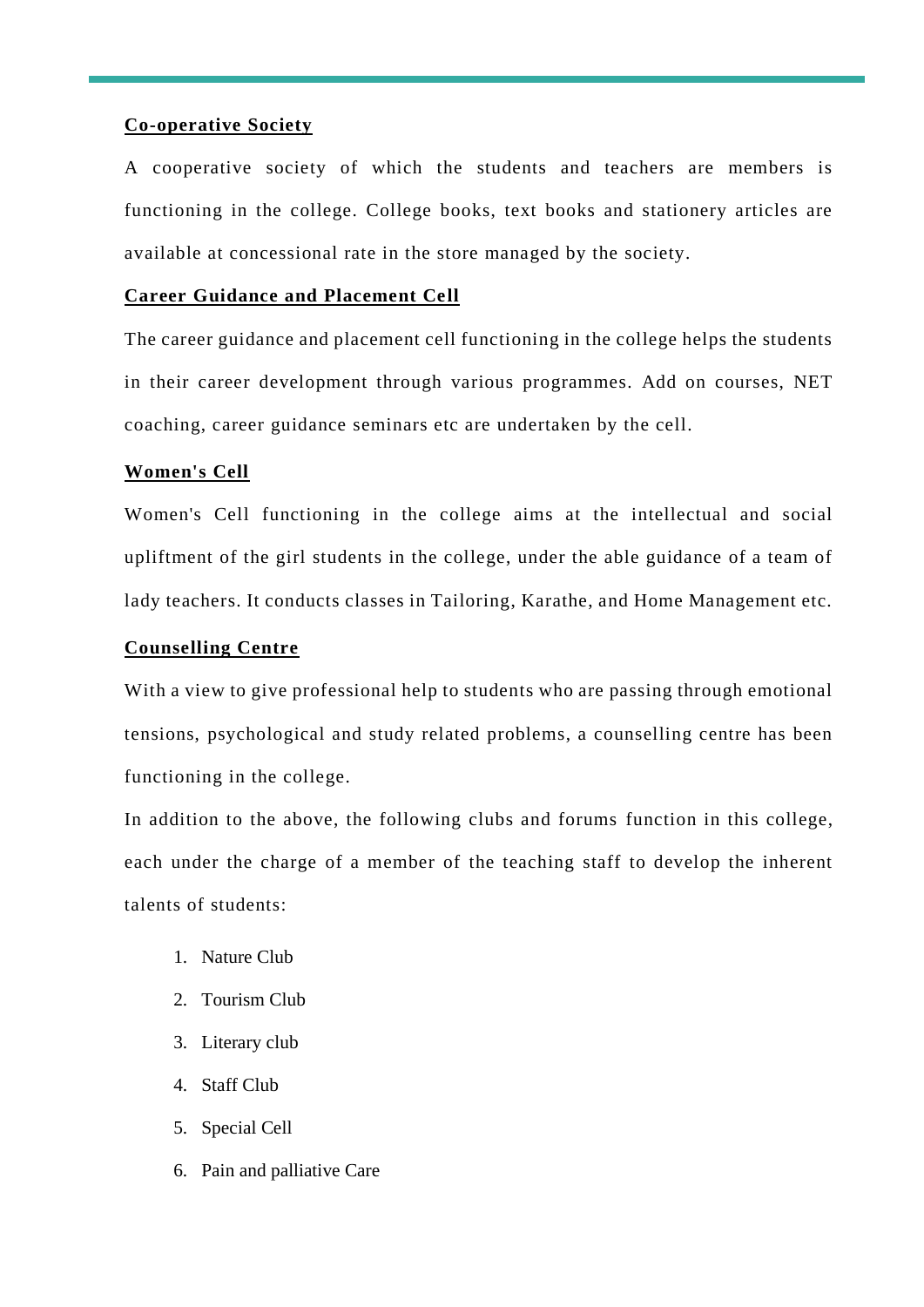## **Co-operative Society**

A cooperative society of which the students and teachers are members is functioning in the college. College books, text books and stationery articles are available at concessional rate in the store managed by the society.

# **Career Guidance and Placement Cell**

The career guidance and placement cell functioning in the college helps the students in their career development through various programmes. Add on courses, NET coaching, career guidance seminars etc are undertaken by the cell.

## **Women's Cell**

Women's Cell functioning in the college aims at the intellectual and social upliftment of the girl students in the college, under the able guidance of a team of lady teachers. It conducts classes in Tailoring, Karathe, and Home Management etc.

## **Counselling Centre**

With a view to give professional help to students who are passing through emotional tensions, psychological and study related problems, a counselling centre has been functioning in the college.

In addition to the above, the following clubs and forums function in this college, each under the charge of a member of the teaching staff to develop the inherent talents of students:

- 1. Nature Club
- 2. Tourism Club
- 3. Literary club
- 4. Staff Club
- 5. Special Cell
- 6. Pain and palliative Care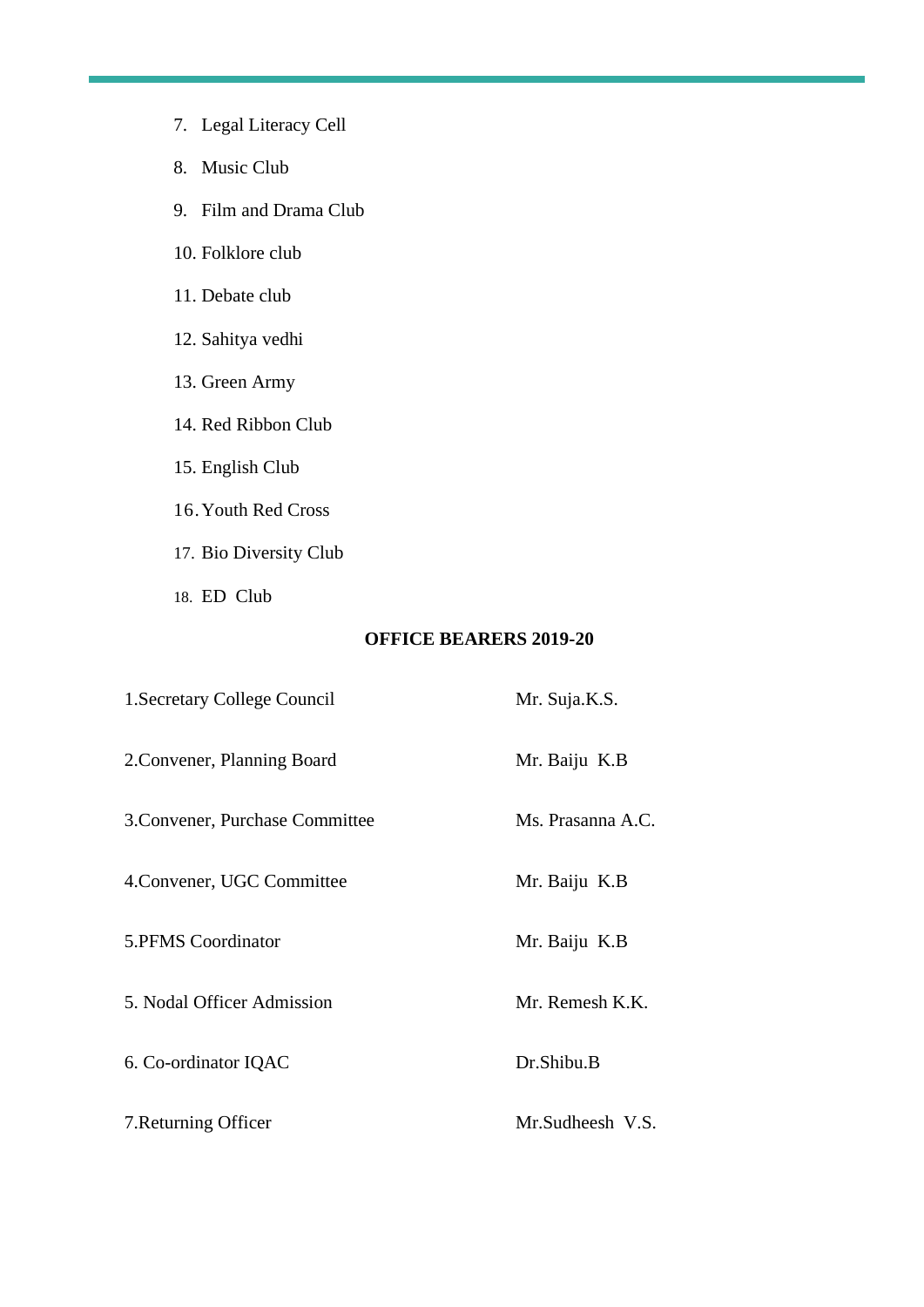- 7. Legal Literacy Cell
- 8. Music Club
- 9. Film and Drama Club
- 10. Folklore club
- 11. Debate club
- 12. Sahitya vedhi
- 13. Green Army
- 14. Red Ribbon Club
- 15. English Club
- 16.Youth Red Cross
- 17. Bio Diversity Club
- 18. ED Club

## **OFFICE BEARERS 2019-20**

| 1. Secretary College Council    | Mr. Suja.K.S.     |
|---------------------------------|-------------------|
| 2. Convener, Planning Board     | Mr. Baiju K.B     |
| 3. Convener, Purchase Committee | Ms. Prasanna A.C. |
| 4. Convener, UGC Committee      | Mr. Baiju K.B     |
| 5.PFMS Coordinator              | Mr. Baiju K.B     |
| 5. Nodal Officer Admission      | Mr. Remesh K.K.   |
| 6. Co-ordinator IQAC            | Dr.Shibu.B        |
| 7. Returning Officer            | Mr.Sudheesh V.S.  |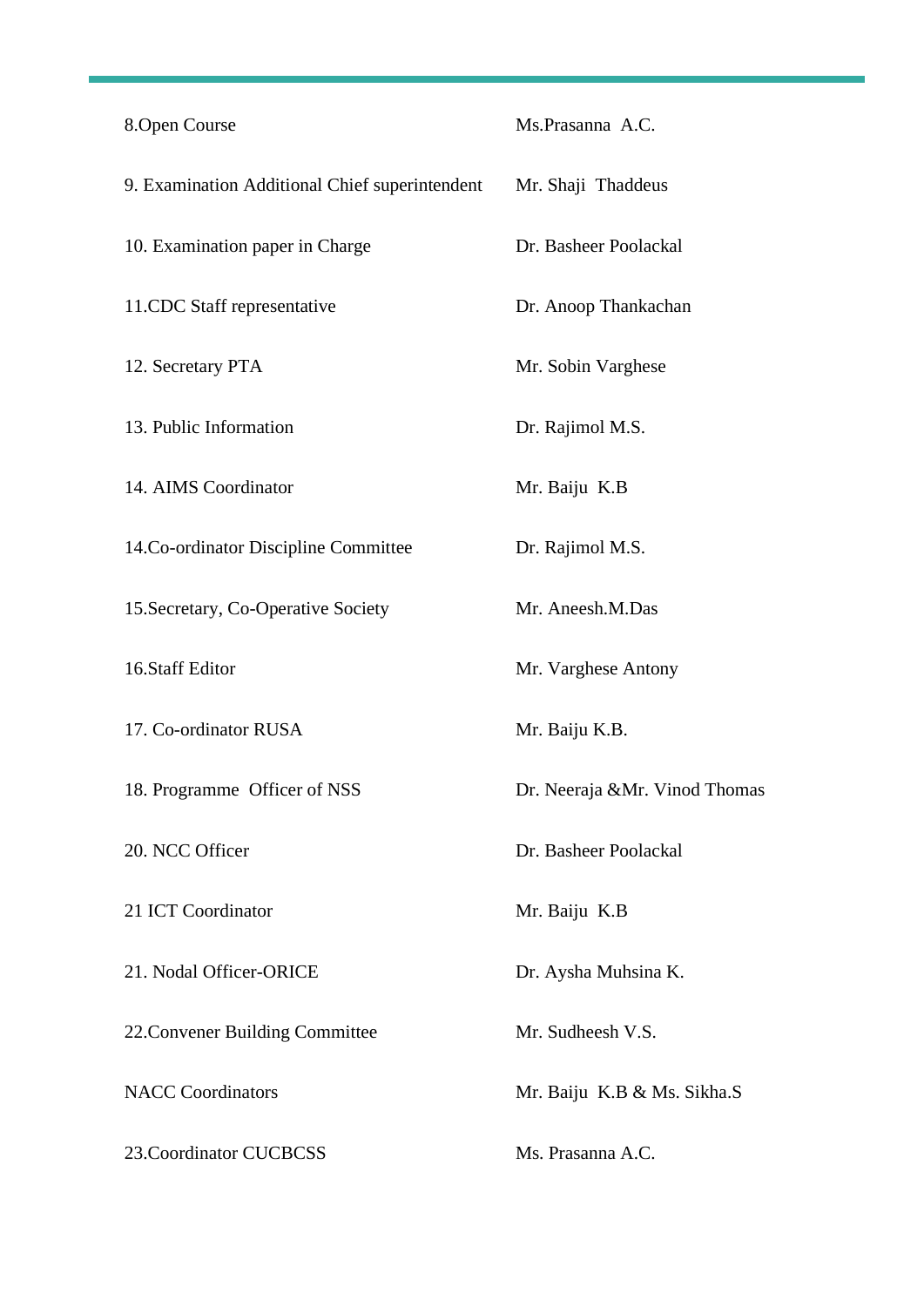| 8.Open Course                                  | Ms.Prasanna A.C.               |
|------------------------------------------------|--------------------------------|
| 9. Examination Additional Chief superintendent | Mr. Shaji Thaddeus             |
| 10. Examination paper in Charge                | Dr. Basheer Poolackal          |
| 11.CDC Staff representative                    | Dr. Anoop Thankachan           |
| 12. Secretary PTA                              | Mr. Sobin Varghese             |
| 13. Public Information                         | Dr. Rajimol M.S.               |
| 14. AIMS Coordinator                           | Mr. Baiju K.B                  |
| 14. Co-ordinator Discipline Committee          | Dr. Rajimol M.S.               |
| 15. Secretary, Co-Operative Society            | Mr. Aneesh.M.Das               |
| 16.Staff Editor                                | Mr. Varghese Antony            |
| 17. Co-ordinator RUSA                          | Mr. Baiju K.B.                 |
| 18. Programme Officer of NSS                   | Dr. Neeraja & Mr. Vinod Thomas |
| 20. NCC Officer                                | Dr. Basheer Poolackal          |
| 21 ICT Coordinator                             | Mr. Baiju K.B                  |
| 21. Nodal Officer-ORICE                        | Dr. Aysha Muhsina K.           |
| 22. Convener Building Committee                | Mr. Sudheesh V.S.              |
| <b>NACC</b> Coordinators                       | Mr. Baiju K.B & Ms. Sikha.S    |
| 23. Coordinator CUCBCSS                        | Ms. Prasanna A.C.              |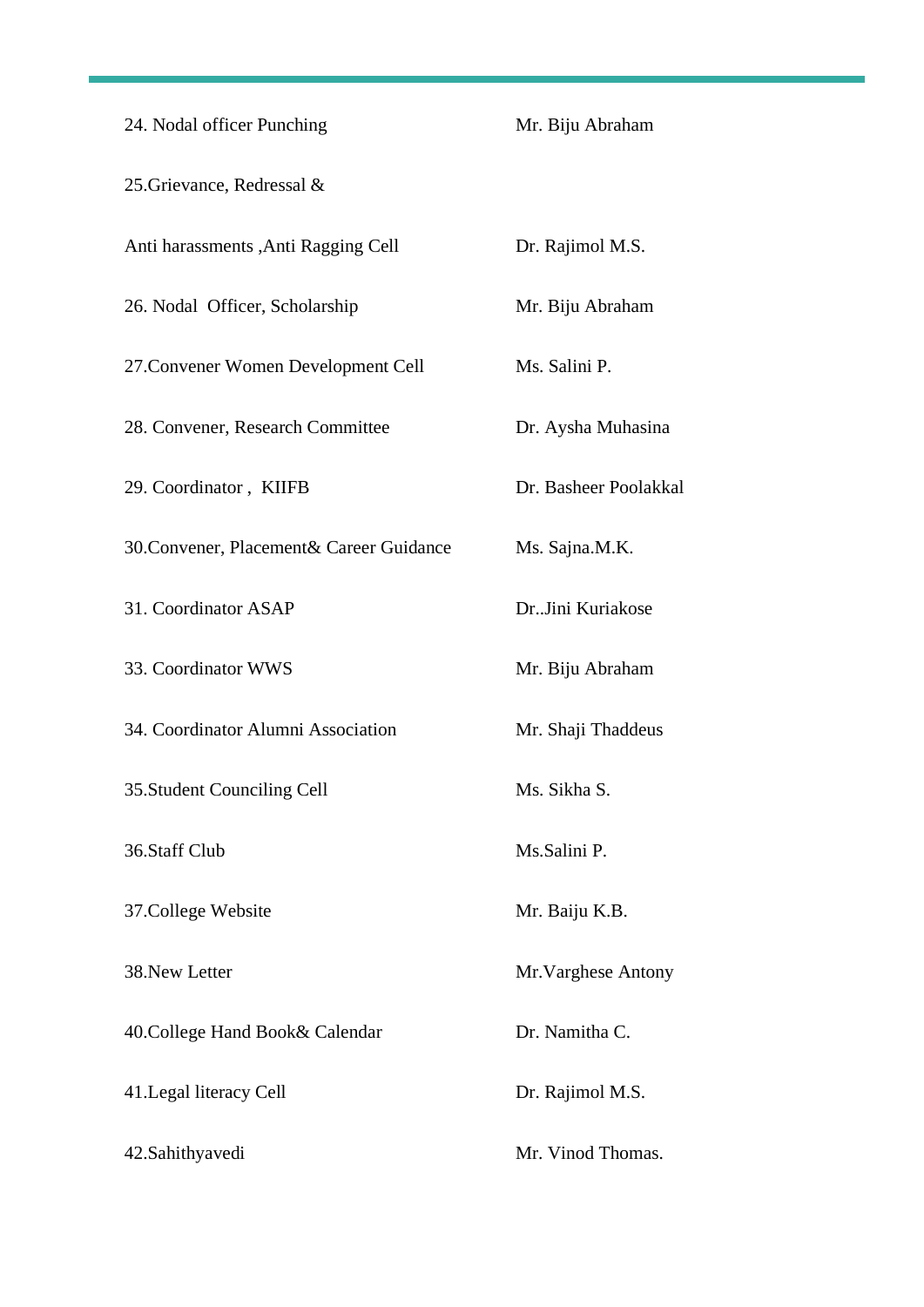| 24. Nodal officer Punching                | Mr. Biju Abraham      |
|-------------------------------------------|-----------------------|
| 25. Grievance, Redressal &                |                       |
| Anti harassments , Anti Ragging Cell      | Dr. Rajimol M.S.      |
| 26. Nodal Officer, Scholarship            | Mr. Biju Abraham      |
| 27. Convener Women Development Cell       | Ms. Salini P.         |
| 28. Convener, Research Committee          | Dr. Aysha Muhasina    |
| 29. Coordinator, KIIFB                    | Dr. Basheer Poolakkal |
| 30. Convener, Placement & Career Guidance | Ms. Sajna.M.K.        |
| 31. Coordinator ASAP                      | Dr. Jini Kuriakose    |
| 33. Coordinator WWS                       | Mr. Biju Abraham      |
| 34. Coordinator Alumni Association        | Mr. Shaji Thaddeus    |
| 35. Student Counciling Cell               | Ms. Sikha S.          |
| 36.Staff Club                             | Ms.Salini P.          |
| 37. College Website                       | Mr. Baiju K.B.        |
| 38. New Letter                            | Mr. Varghese Antony   |
| 40. College Hand Book& Calendar           | Dr. Namitha C.        |
| 41. Legal literacy Cell                   | Dr. Rajimol M.S.      |
| 42. Sahithyavedi                          | Mr. Vinod Thomas.     |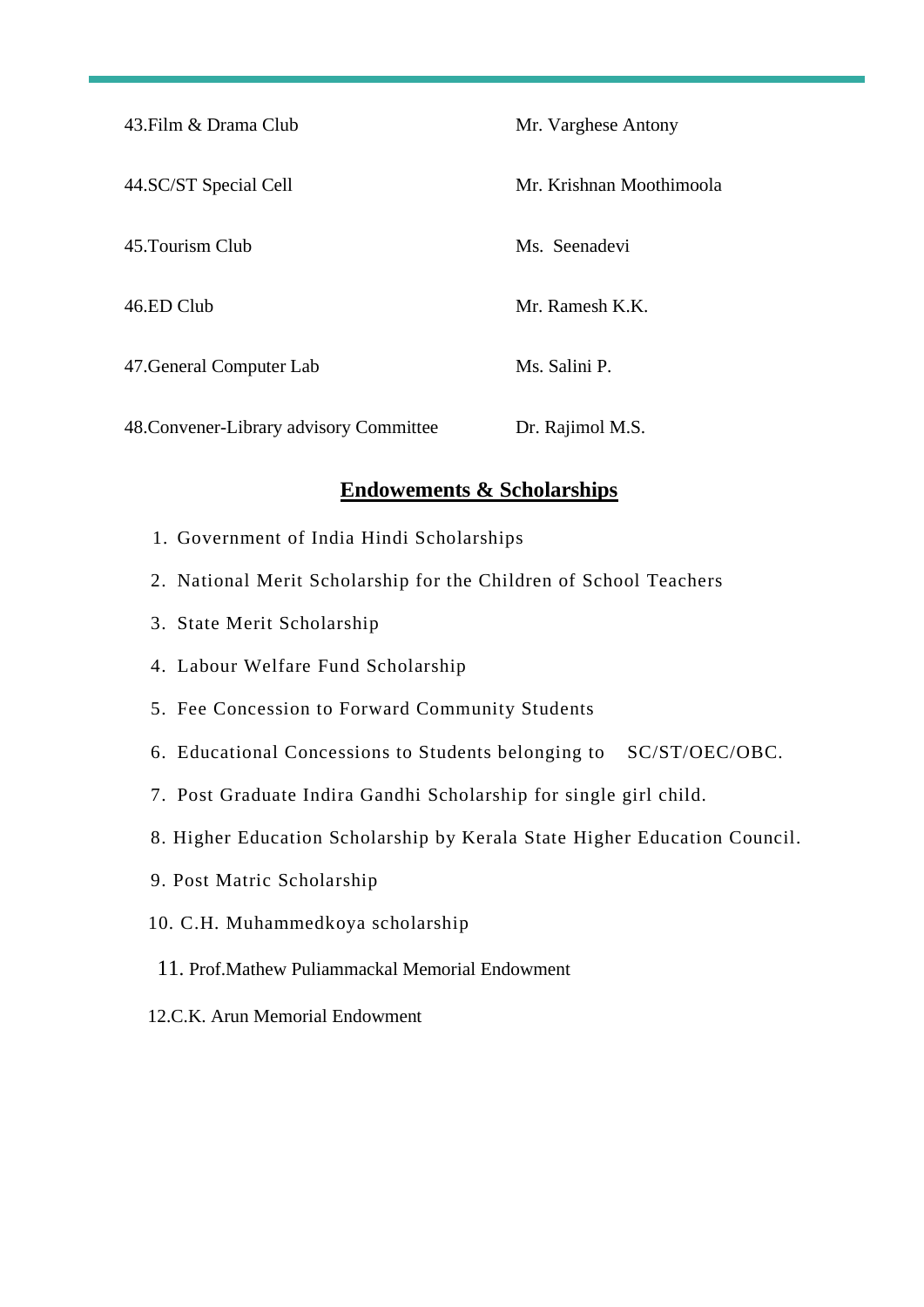| 43. Film & Drama Club                   | Mr. Varghese Antony      |
|-----------------------------------------|--------------------------|
| 44.SC/ST Special Cell                   | Mr. Krishnan Moothimoola |
| 45. Tourism Club                        | Ms. Seenadevi            |
| 46.ED Club                              | Mr. Ramesh K.K.          |
| 47. General Computer Lab                | Ms. Salini P.            |
| 48. Convener-Library advisory Committee | Dr. Rajimol M.S.         |

# **Endowements & Scholarships**

- 1. Government of India Hindi Scholarships
- 2. National Merit Scholarship for the Children of School Teachers
- 3. State Merit Scholarship
- 4. Labour Welfare Fund Scholarship
- 5. Fee Concession to Forward Community Students
- 6. Educational Concessions to Students belonging to SC/ST/OEC/OBC.
- 7. Post Graduate Indira Gandhi Scholarship for single girl child.
- 8. Higher Education Scholarship by Kerala State Higher Education Council.
- 9. Post Matric Scholarship
- 10. C.H. Muhammedkoya scholarship
- 11. Prof.Mathew Puliammackal Memorial Endowment
- 12.C.K. Arun Memorial Endowment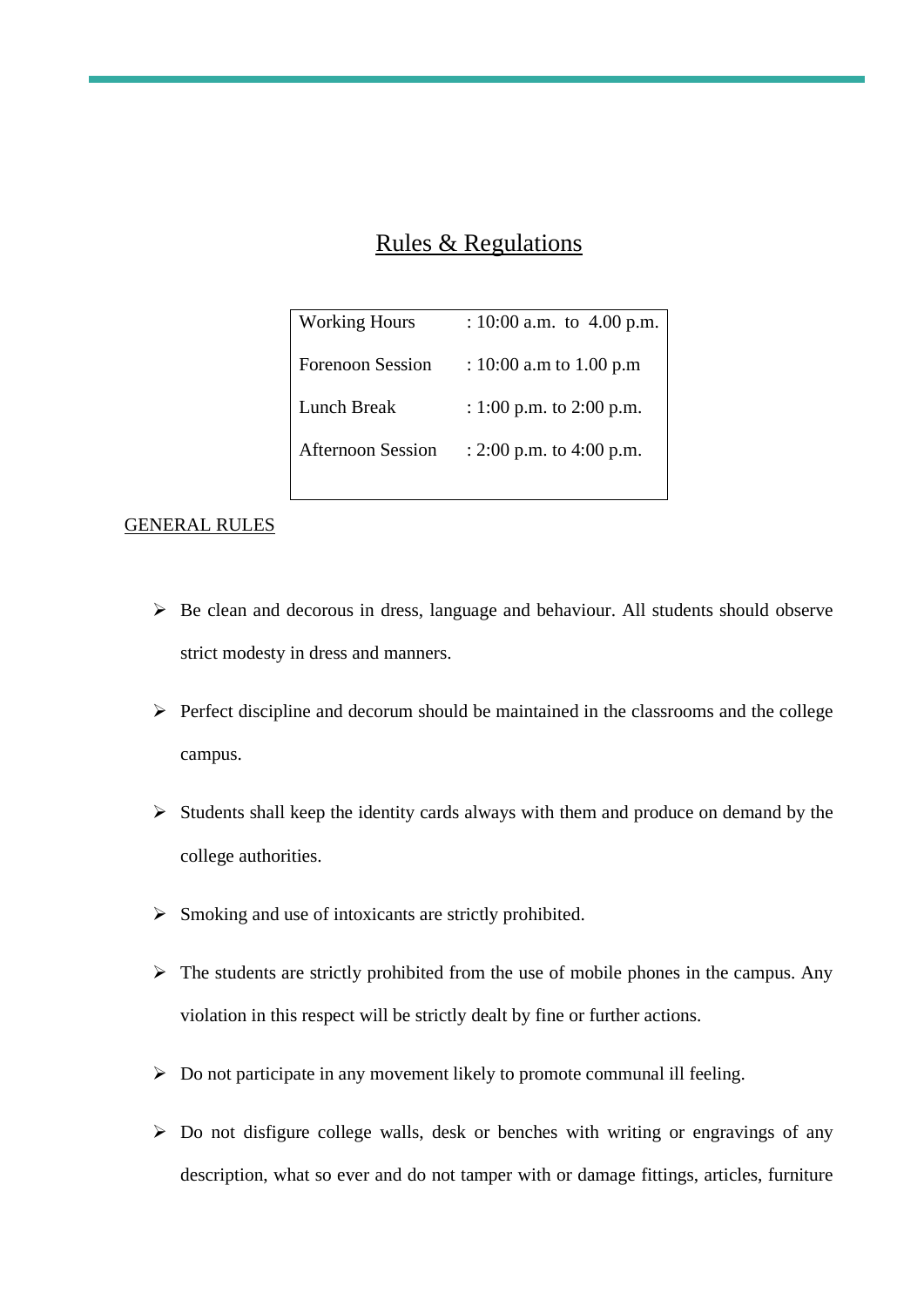# Rules & Regulations

| <b>Working Hours</b>     | : 10:00 a.m. to $4.00$ p.m.  |
|--------------------------|------------------------------|
| <b>Forenoon Session</b>  | : 10:00 a.m to 1.00 p.m      |
| Lunch Break              | : 1:00 p.m. to 2:00 p.m.     |
| <b>Afternoon Session</b> | : $2:00$ p.m. to $4:00$ p.m. |
|                          |                              |

#### GENERAL RULES

- ➢ Be clean and decorous in dress, language and behaviour. All students should observe strict modesty in dress and manners.
- $\triangleright$  Perfect discipline and decorum should be maintained in the classrooms and the college campus.
- ➢ Students shall keep the identity cards always with them and produce on demand by the college authorities.
- ➢ Smoking and use of intoxicants are strictly prohibited.
- $\triangleright$  The students are strictly prohibited from the use of mobile phones in the campus. Any violation in this respect will be strictly dealt by fine or further actions.
- ➢ Do not participate in any movement likely to promote communal ill feeling.
- ➢ Do not disfigure college walls, desk or benches with writing or engravings of any description, what so ever and do not tamper with or damage fittings, articles, furniture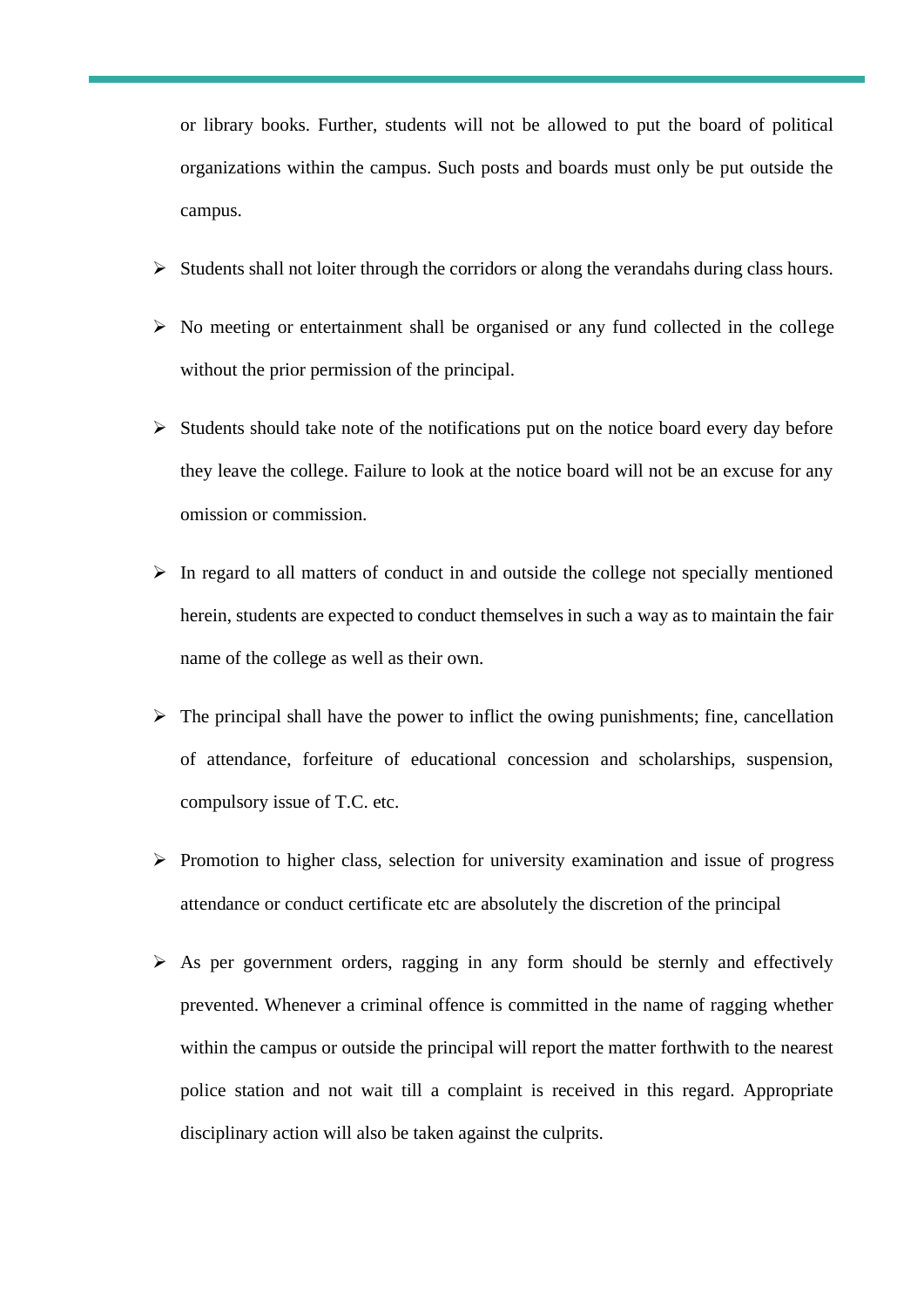or library books. Further, students will not be allowed to put the board of political organizations within the campus. Such posts and boards must only be put outside the campus.

- ➢ Students shall not loiter through the corridors or along the verandahs during class hours.
- ➢ No meeting or entertainment shall be organised or any fund collected in the college without the prior permission of the principal.
- ➢ Students should take note of the notifications put on the notice board every day before they leave the college. Failure to look at the notice board will not be an excuse for any omission or commission.
- $\triangleright$  In regard to all matters of conduct in and outside the college not specially mentioned herein, students are expected to conduct themselves in such a way as to maintain the fair name of the college as well as their own.
- $\triangleright$  The principal shall have the power to inflict the owing punishments; fine, cancellation of attendance, forfeiture of educational concession and scholarships, suspension, compulsory issue of T.C. etc.
- ➢ Promotion to higher class, selection for university examination and issue of progress attendance or conduct certificate etc are absolutely the discretion of the principal
- ➢ As per government orders, ragging in any form should be sternly and effectively prevented. Whenever a criminal offence is committed in the name of ragging whether within the campus or outside the principal will report the matter forthwith to the nearest police station and not wait till a complaint is received in this regard. Appropriate disciplinary action will also be taken against the culprits.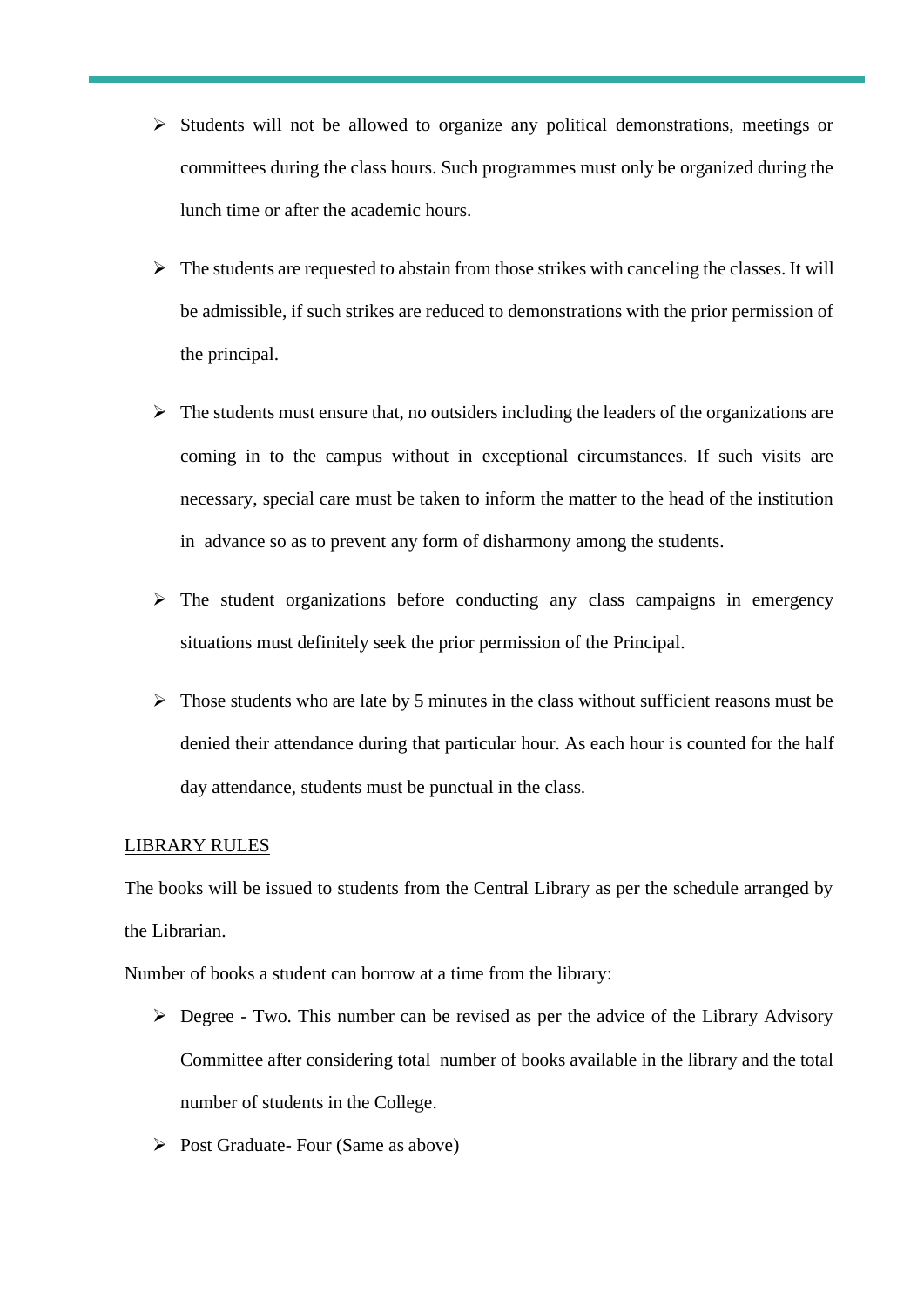- ➢ Students will not be allowed to organize any political demonstrations, meetings or committees during the class hours. Such programmes must only be organized during the lunch time or after the academic hours.
- $\triangleright$  The students are requested to abstain from those strikes with canceling the classes. It will be admissible, if such strikes are reduced to demonstrations with the prior permission of the principal.
- $\triangleright$  The students must ensure that, no outsiders including the leaders of the organizations are coming in to the campus without in exceptional circumstances. If such visits are necessary, special care must be taken to inform the matter to the head of the institution in advance so as to prevent any form of disharmony among the students.
- ➢ The student organizations before conducting any class campaigns in emergency situations must definitely seek the prior permission of the Principal.
- $\triangleright$  Those students who are late by 5 minutes in the class without sufficient reasons must be denied their attendance during that particular hour. As each hour is counted for the half day attendance, students must be punctual in the class.

#### LIBRARY RULES

The books will be issued to students from the Central Library as per the schedule arranged by the Librarian.

Number of books a student can borrow at a time from the library:

- ➢ Degree Two. This number can be revised as per the advice of the Library Advisory Committee after considering total number of books available in the library and the total number of students in the College.
- ➢ Post Graduate- Four (Same as above)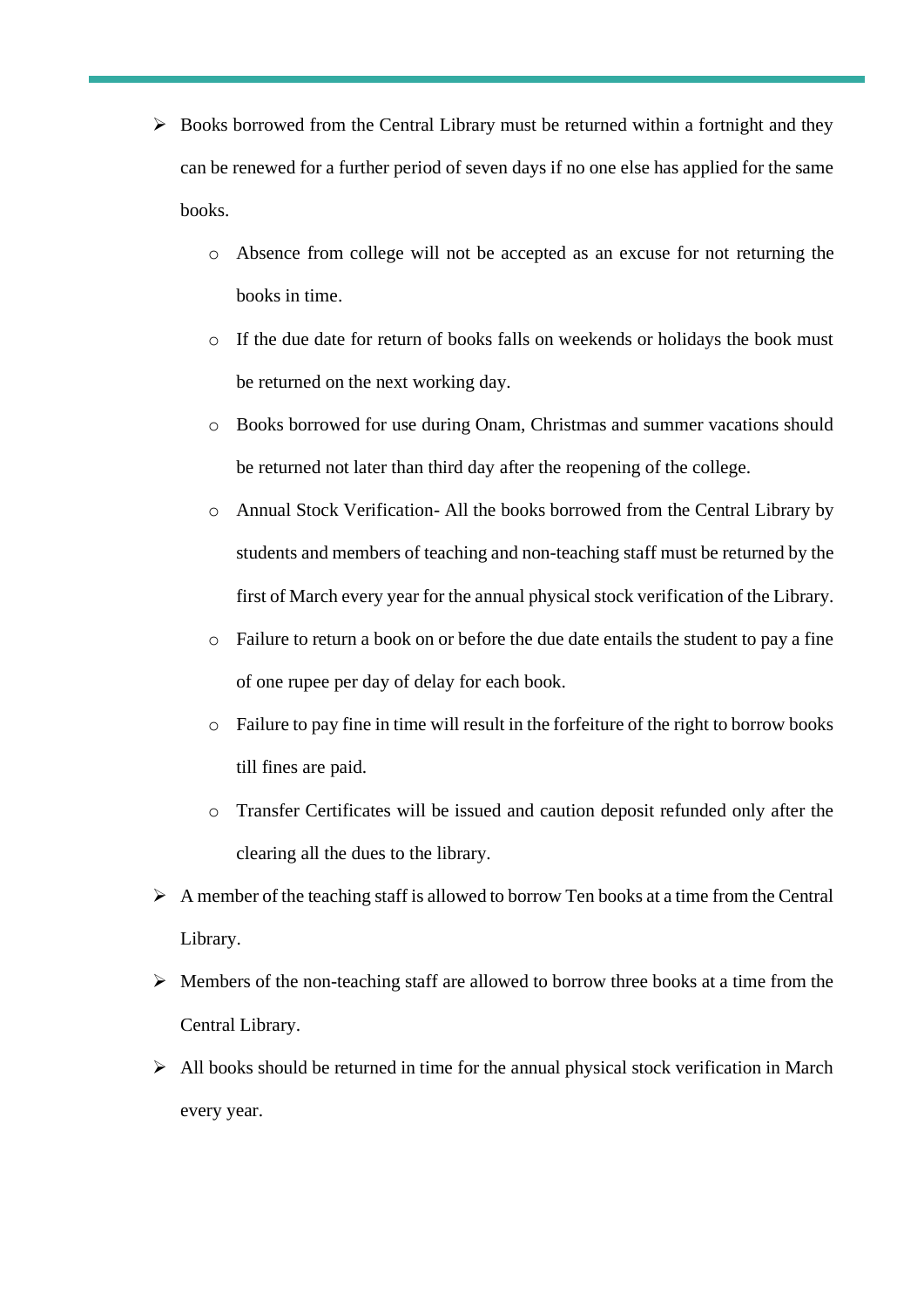- $\triangleright$  Books borrowed from the Central Library must be returned within a fortnight and they can be renewed for a further period of seven days if no one else has applied for the same books.
	- o Absence from college will not be accepted as an excuse for not returning the books in time.
	- o If the due date for return of books falls on weekends or holidays the book must be returned on the next working day.
	- o Books borrowed for use during Onam, Christmas and summer vacations should be returned not later than third day after the reopening of the college.
	- o Annual Stock Verification- All the books borrowed from the Central Library by students and members of teaching and non-teaching staff must be returned by the first of March every year for the annual physical stock verification of the Library.
	- o Failure to return a book on or before the due date entails the student to pay a fine of one rupee per day of delay for each book.
	- o Failure to pay fine in time will result in the forfeiture of the right to borrow books till fines are paid.
	- o Transfer Certificates will be issued and caution deposit refunded only after the clearing all the dues to the library.
- ➢ A member of the teaching staff is allowed to borrow Ten books at a time from the Central Library.
- $\triangleright$  Members of the non-teaching staff are allowed to borrow three books at a time from the Central Library.
- ➢ All books should be returned in time for the annual physical stock verification in March every year.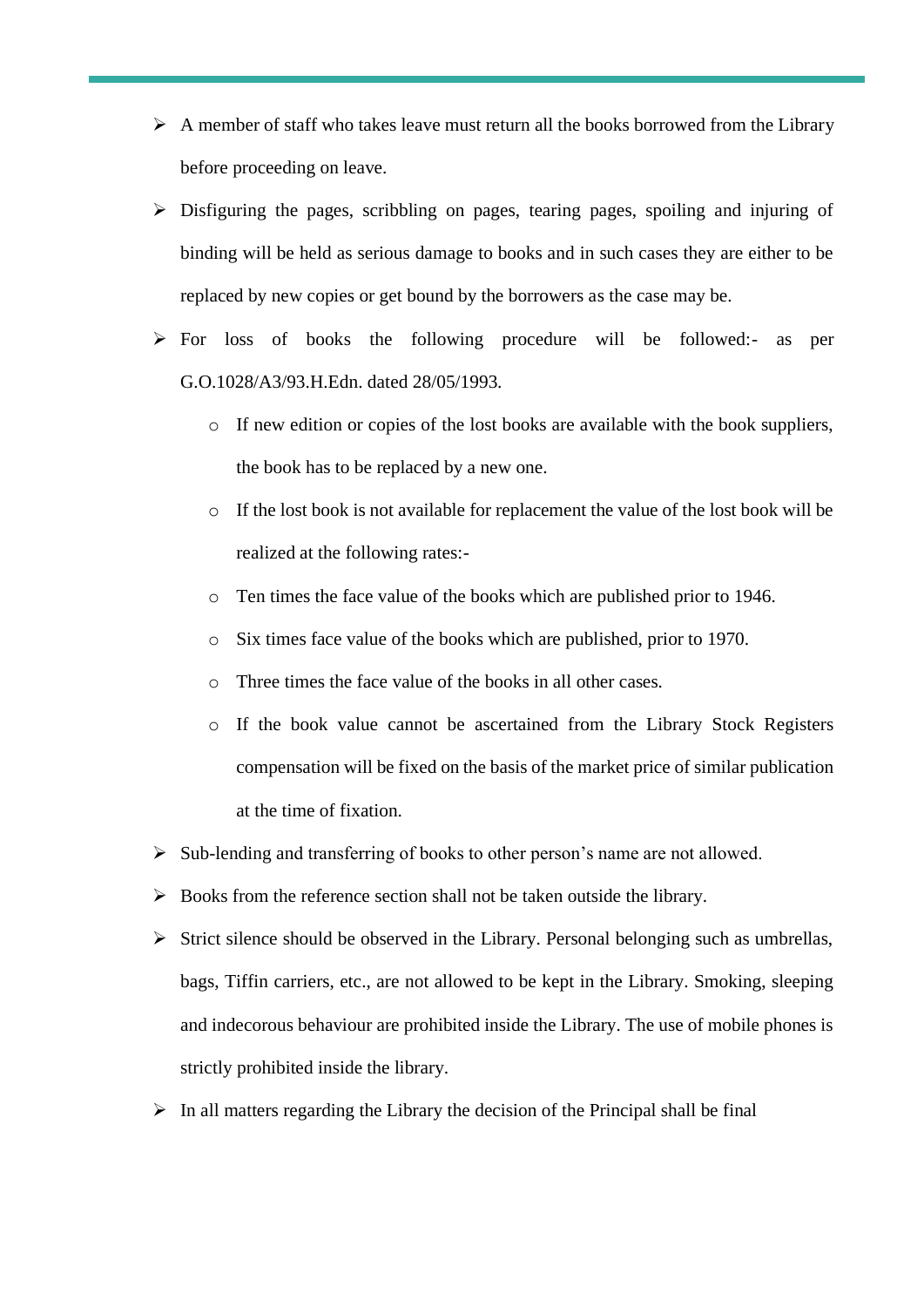- $\triangleright$  A member of staff who takes leave must return all the books borrowed from the Library before proceeding on leave.
- ➢ Disfiguring the pages, scribbling on pages, tearing pages, spoiling and injuring of binding will be held as serious damage to books and in such cases they are either to be replaced by new copies or get bound by the borrowers as the case may be.
- ➢ For loss of books the following procedure will be followed:- as per G.O.1028/A3/93.H.Edn. dated 28/05/1993.
	- o If new edition or copies of the lost books are available with the book suppliers, the book has to be replaced by a new one.
	- o If the lost book is not available for replacement the value of the lost book will be realized at the following rates:-
	- o Ten times the face value of the books which are published prior to 1946.
	- o Six times face value of the books which are published, prior to 1970.
	- o Three times the face value of the books in all other cases.
	- o If the book value cannot be ascertained from the Library Stock Registers compensation will be fixed on the basis of the market price of similar publication at the time of fixation.
- ➢ Sub-lending and transferring of books to other person's name are not allowed.
- ➢ Books from the reference section shall not be taken outside the library.
- $\triangleright$  Strict silence should be observed in the Library. Personal belonging such as umbrellas, bags, Tiffin carriers, etc., are not allowed to be kept in the Library. Smoking, sleeping and indecorous behaviour are prohibited inside the Library. The use of mobile phones is strictly prohibited inside the library.
- $\triangleright$  In all matters regarding the Library the decision of the Principal shall be final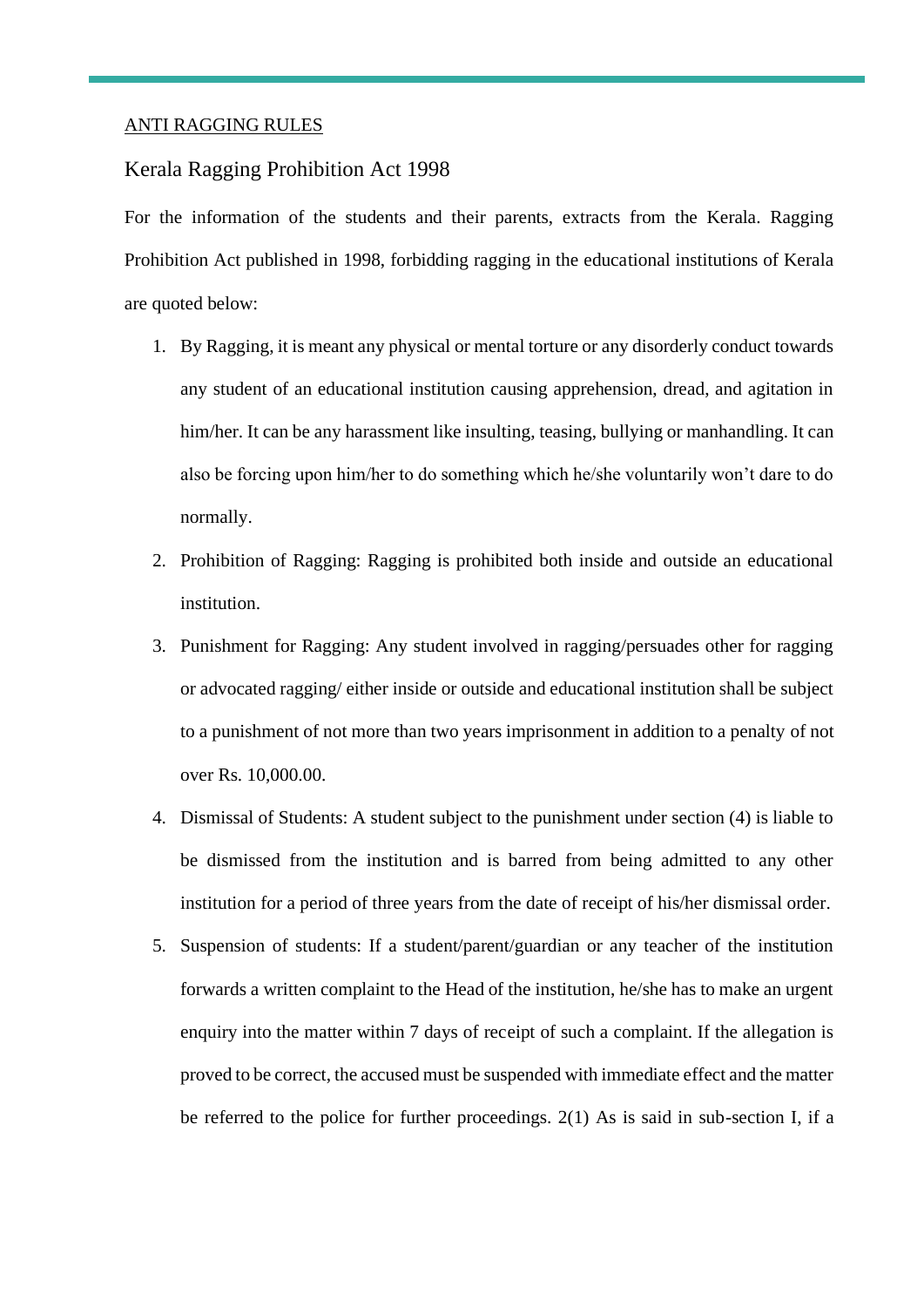#### ANTI RAGGING RULES

#### Kerala Ragging Prohibition Act 1998

For the information of the students and their parents, extracts from the Kerala. Ragging Prohibition Act published in 1998, forbidding ragging in the educational institutions of Kerala are quoted below:

- 1. By Ragging, it is meant any physical or mental torture or any disorderly conduct towards any student of an educational institution causing apprehension, dread, and agitation in him/her. It can be any harassment like insulting, teasing, bullying or manhandling. It can also be forcing upon him/her to do something which he/she voluntarily won't dare to do normally.
- 2. Prohibition of Ragging: Ragging is prohibited both inside and outside an educational institution.
- 3. Punishment for Ragging: Any student involved in ragging/persuades other for ragging or advocated ragging/ either inside or outside and educational institution shall be subject to a punishment of not more than two years imprisonment in addition to a penalty of not over Rs. 10,000.00.
- 4. Dismissal of Students: A student subject to the punishment under section (4) is liable to be dismissed from the institution and is barred from being admitted to any other institution for a period of three years from the date of receipt of his/her dismissal order.
- 5. Suspension of students: If a student/parent/guardian or any teacher of the institution forwards a written complaint to the Head of the institution, he/she has to make an urgent enquiry into the matter within 7 days of receipt of such a complaint. If the allegation is proved to be correct, the accused must be suspended with immediate effect and the matter be referred to the police for further proceedings. 2(1) As is said in sub-section I, if a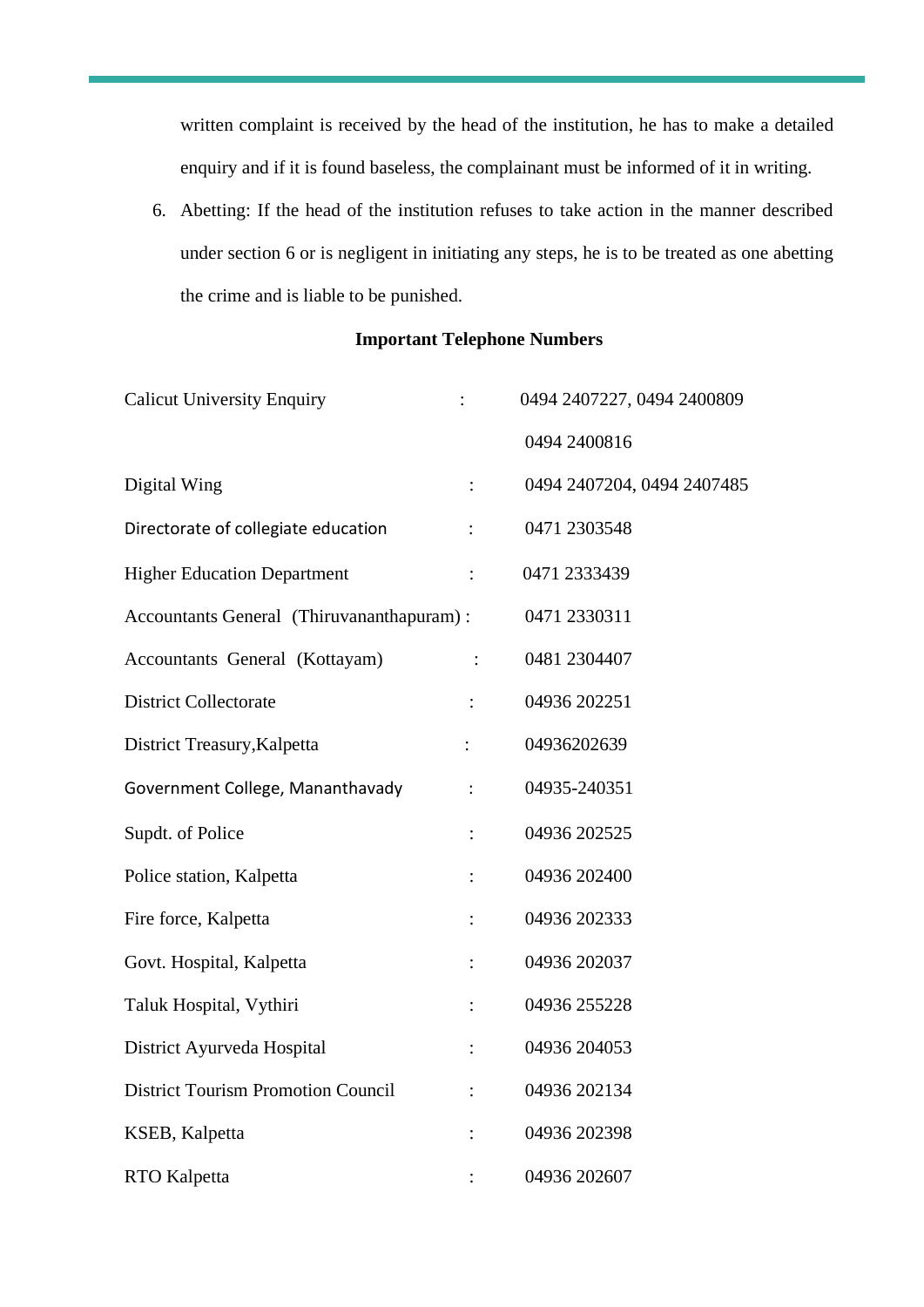written complaint is received by the head of the institution, he has to make a detailed enquiry and if it is found baseless, the complainant must be informed of it in writing.

6. Abetting: If the head of the institution refuses to take action in the manner described under section 6 or is negligent in initiating any steps, he is to be treated as one abetting the crime and is liable to be punished.

#### **Important Telephone Numbers**

| <b>Calicut University Enquiry</b>         | $\ddot{\cdot}$ | 0494 2407227, 0494 2400809 |
|-------------------------------------------|----------------|----------------------------|
|                                           |                | 0494 2400816               |
| Digital Wing                              | $\ddot{\cdot}$ | 0494 2407204, 0494 2407485 |
| Directorate of collegiate education       |                | 0471 2303548               |
| <b>Higher Education Department</b>        | $\ddot{\cdot}$ | 0471 2333439               |
| Accountants General (Thiruvananthapuram): |                | 0471 2330311               |
| Accountants General (Kottayam)            |                | 0481 2304407               |
| <b>District Collectorate</b>              | $\ddot{\cdot}$ | 04936 202251               |
| District Treasury, Kalpetta               | $\ddot{\cdot}$ | 04936202639                |
| Government College, Mananthavady          | $\ddot{\cdot}$ | 04935-240351               |
| Supdt. of Police                          | $\ddot{\cdot}$ | 04936 202525               |
| Police station, Kalpetta                  | $\vdots$       | 04936 202400               |
| Fire force, Kalpetta                      | $\ddot{\cdot}$ | 04936 202333               |
| Govt. Hospital, Kalpetta                  | $\vdots$       | 04936 202037               |
| Taluk Hospital, Vythiri                   | $\vdots$       | 04936 255228               |
| District Ayurveda Hospital                | $\ddot{\cdot}$ | 04936 204053               |
| <b>District Tourism Promotion Council</b> | $\ddot{\cdot}$ | 04936 202134               |
| KSEB, Kalpetta                            |                | 04936 202398               |
| <b>RTO</b> Kalpetta                       |                | 04936 202607               |